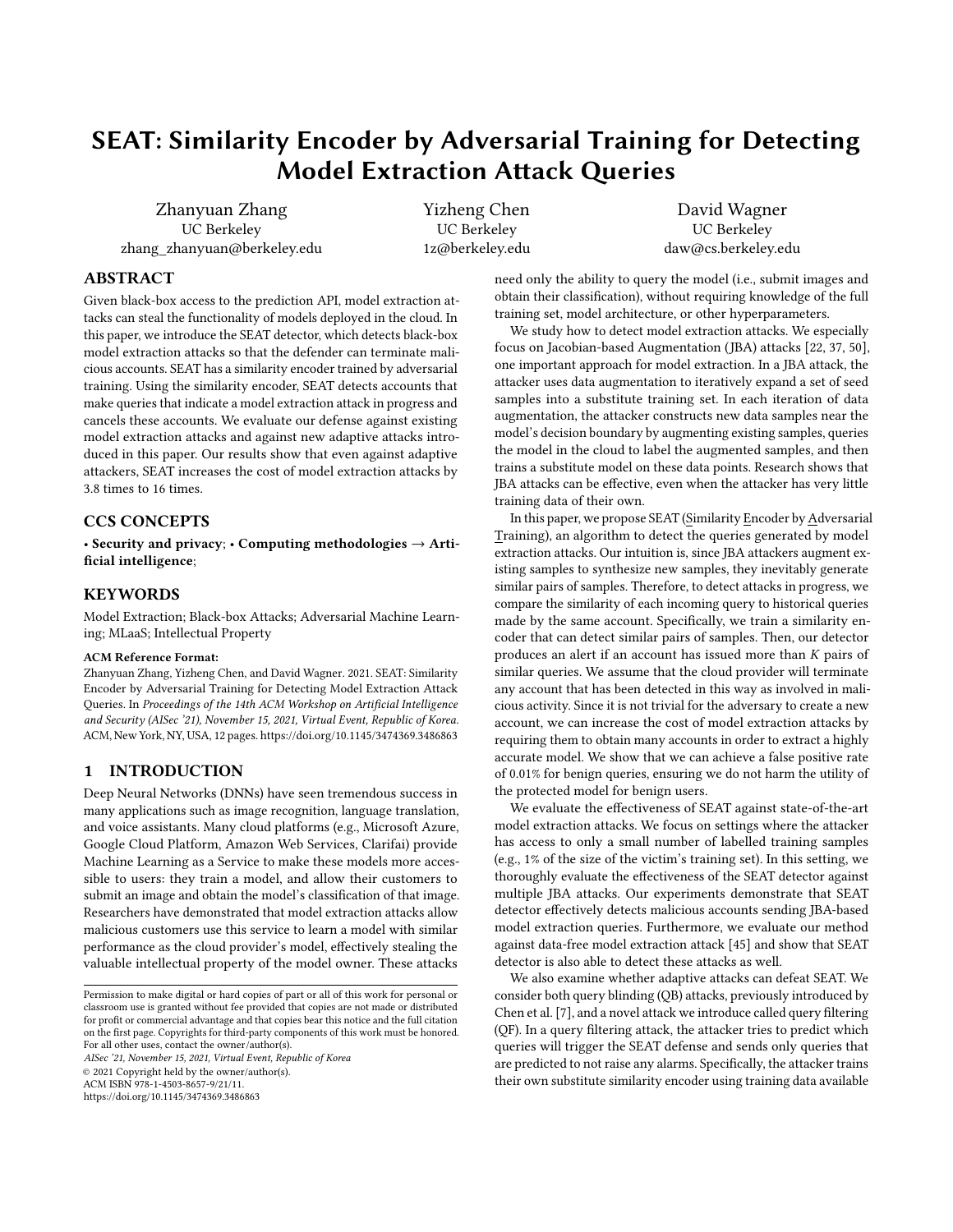# SEAT: Similarity Encoder by Adversarial Training for Detecting Model Extraction Attack Queries

Zhanyuan Zhang UC Berkeley zhang\_zhanyuan@berkeley.edu Yizheng Chen UC Berkeley 1z@berkeley.edu

David Wagner UC Berkeley daw@cs.berkeley.edu

# ABSTRACT

Given black-box access to the prediction API, model extraction attacks can steal the functionality of models deployed in the cloud. In this paper, we introduce the SEAT detector, which detects black-box model extraction attacks so that the defender can terminate malicious accounts. SEAT has a similarity encoder trained by adversarial training. Using the similarity encoder, SEAT detects accounts that make queries that indicate a model extraction attack in progress and cancels these accounts. We evaluate our defense against existing model extraction attacks and against new adaptive attacks introduced in this paper. Our results show that even against adaptive attackers, SEAT increases the cost of model extraction attacks by 3.8 times to 16 times.

## CCS CONCEPTS

• Security and privacy; • Computing methodologies  $\rightarrow$  Artificial intelligence;

## **KEYWORDS**

Model Extraction; Black-box Attacks; Adversarial Machine Learning; MLaaS; Intellectual Property

#### ACM Reference Format:

Zhanyuan Zhang, Yizheng Chen, and David Wagner. 2021. SEAT: Similarity Encoder by Adversarial Training for Detecting Model Extraction Attack Queries. In Proceedings of the 14th ACM Workshop on Artificial Intelligence and Security (AISec '21), November 15, 2021, Virtual Event, Republic of Korea. ACM, New York, NY, USA, [12](#page-11-0) pages.<https://doi.org/10.1145/3474369.3486863>

# 1 INTRODUCTION

Deep Neural Networks (DNNs) have seen tremendous success in many applications such as image recognition, language translation, and voice assistants. Many cloud platforms (e.g., Microsoft Azure, Google Cloud Platform, Amazon Web Services, Clarifai) provide Machine Learning as a Service to make these models more accessible to users: they train a model, and allow their customers to submit an image and obtain the model's classification of that image. Researchers have demonstrated that model extraction attacks allow malicious customers use this service to learn a model with similar performance as the cloud provider's model, effectively stealing the valuable intellectual property of the model owner. These attacks

AISec '21, November 15, 2021, Virtual Event, Republic of Korea © 2021 Copyright held by the owner/author(s). ACM ISBN 978-1-4503-8657-9/21/11.

<https://doi.org/10.1145/3474369.3486863>

need only the ability to query the model (i.e., submit images and obtain their classification), without requiring knowledge of the full training set, model architecture, or other hyperparameters.

We study how to detect model extraction attacks. We especially focus on Jacobian-based Augmentation (JBA) attacks [\[22,](#page-10-0) [37,](#page-10-1) [50\]](#page-11-1), one important approach for model extraction. In a JBA attack, the attacker uses data augmentation to iteratively expand a set of seed samples into a substitute training set. In each iteration of data augmentation, the attacker constructs new data samples near the model's decision boundary by augmenting existing samples, queries the model in the cloud to label the augmented samples, and then trains a substitute model on these data points. Research shows that JBA attacks can be effective, even when the attacker has very little training data of their own.

In this paper, we propose SEAT (Similarity Encoder by Adversarial Training), an algorithm to detect the queries generated by model extraction attacks. Our intuition is, since JBA attackers augment existing samples to synthesize new samples, they inevitably generate similar pairs of samples. Therefore, to detect attacks in progress, we compare the similarity of each incoming query to historical queries made by the same account. Specifically, we train a similarity encoder that can detect similar pairs of samples. Then, our detector produces an alert if an account has issued more than  $K$  pairs of similar queries. We assume that the cloud provider will terminate any account that has been detected in this way as involved in malicious activity. Since it is not trivial for the adversary to create a new account, we can increase the cost of model extraction attacks by requiring them to obtain many accounts in order to extract a highly accurate model. We show that we can achieve a false positive rate of 0.01% for benign queries, ensuring we do not harm the utility of the protected model for benign users.

We evaluate the effectiveness of SEAT against state-of-the-art model extraction attacks. We focus on settings where the attacker has access to only a small number of labelled training samples (e.g., 1% of the size of the victim's training set). In this setting, we thoroughly evaluate the effectiveness of the SEAT detector against multiple JBA attacks. Our experiments demonstrate that SEAT detector effectively detects malicious accounts sending JBA-based model extraction queries. Furthermore, we evaluate our method against data-free model extraction attack [\[45\]](#page-10-2) and show that SEAT detector is also able to detect these attacks as well.

We also examine whether adaptive attacks can defeat SEAT. We consider both query blinding (QB) attacks, previously introduced by Chen et al. [\[7\]](#page-10-3), and a novel attack we introduce called query filtering (QF). In a query filtering attack, the attacker tries to predict which queries will trigger the SEAT defense and sends only queries that are predicted to not raise any alarms. Specifically, the attacker trains their own substitute similarity encoder using training data available

Permission to make digital or hard copies of part or all of this work for personal or classroom use is granted without fee provided that copies are not made or distributed for profit or commercial advantage and that copies bear this notice and the full citation on the first page. Copyrights for third-party components of this work must be honored. For all other uses, contact the owner/author(s).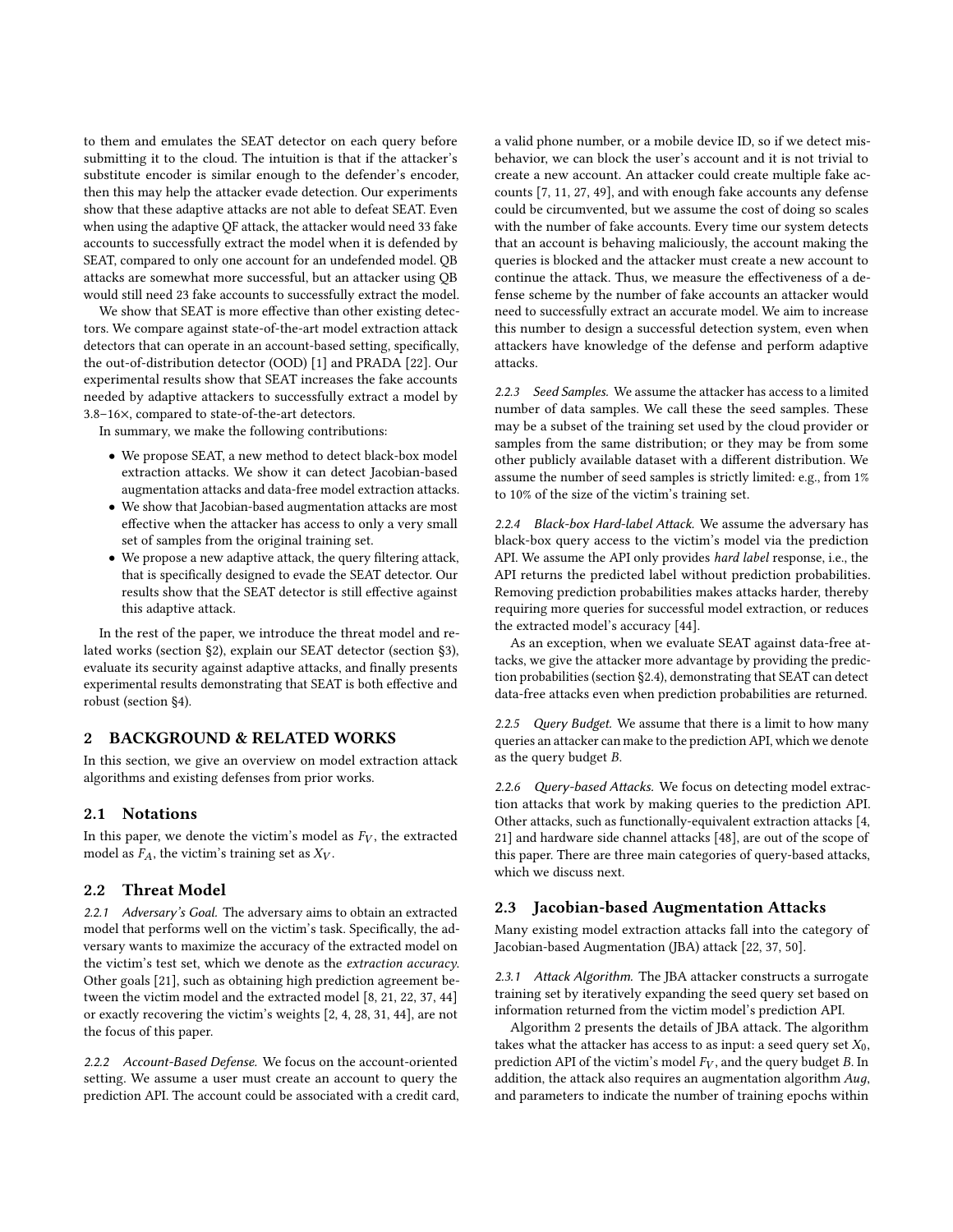to them and emulates the SEAT detector on each query before submitting it to the cloud. The intuition is that if the attacker's substitute encoder is similar enough to the defender's encoder, then this may help the attacker evade detection. Our experiments show that these adaptive attacks are not able to defeat SEAT. Even when using the adaptive QF attack, the attacker would need 33 fake accounts to successfully extract the model when it is defended by SEAT, compared to only one account for an undefended model. QB attacks are somewhat more successful, but an attacker using QB would still need 23 fake accounts to successfully extract the model.

We show that SEAT is more effective than other existing detectors. We compare against state-of-the-art model extraction attack detectors that can operate in an account-based setting, specifically, the out-of-distribution detector (OOD) [\[1\]](#page-10-4) and PRADA [\[22\]](#page-10-0). Our experimental results show that SEAT increases the fake accounts needed by adaptive attackers to successfully extract a model by 3.8–16×, compared to state-of-the-art detectors.

In summary, we make the following contributions:

- We propose SEAT, a new method to detect black-box model extraction attacks. We show it can detect Jacobian-based augmentation attacks and data-free model extraction attacks.
- We show that Jacobian-based augmentation attacks are most effective when the attacker has access to only a very small set of samples from the original training set.
- We propose a new adaptive attack, the query filtering attack, that is specifically designed to evade the SEAT detector. Our results show that the SEAT detector is still effective against this adaptive attack.

In the rest of the paper, we introduce the threat model and related works (section [§2\)](#page-1-0), explain our SEAT detector (section [§3\)](#page-3-0), evaluate its security against adaptive attacks, and finally presents experimental results demonstrating that SEAT is both effective and robust (section [§4\)](#page-5-0).

## <span id="page-1-0"></span>2 BACKGROUND & RELATED WORKS

In this section, we give an overview on model extraction attack algorithms and existing defenses from prior works.

## 2.1 Notations

In this paper, we denote the victim's model as  $F_V$ , the extracted model as  $F_A$ , the victim's training set as  $X_V$ .

## 2.2 Threat Model

2.2.1 Adversary's Goal. The adversary aims to obtain an extracted model that performs well on the victim's task. Specifically, the adversary wants to maximize the accuracy of the extracted model on the victim's test set, which we denote as the extraction accuracy. Other goals [\[21\]](#page-10-5), such as obtaining high prediction agreement between the victim model and the extracted model [\[8,](#page-10-6) [21,](#page-10-5) [22,](#page-10-0) [37,](#page-10-1) [44\]](#page-10-7) or exactly recovering the victim's weights [\[2,](#page-10-8) [4,](#page-10-9) [28,](#page-10-10) [31,](#page-10-11) [44\]](#page-10-7), are not the focus of this paper.

2.2.2 Account-Based Defense. We focus on the account-oriented setting. We assume a user must create an account to query the prediction API. The account could be associated with a credit card, a valid phone number, or a mobile device ID, so if we detect misbehavior, we can block the user's account and it is not trivial to create a new account. An attacker could create multiple fake accounts [\[7,](#page-10-3) [11,](#page-10-12) [27,](#page-10-13) [49\]](#page-11-2), and with enough fake accounts any defense could be circumvented, but we assume the cost of doing so scales with the number of fake accounts. Every time our system detects that an account is behaving maliciously, the account making the queries is blocked and the attacker must create a new account to continue the attack. Thus, we measure the effectiveness of a defense scheme by the number of fake accounts an attacker would need to successfully extract an accurate model. We aim to increase this number to design a successful detection system, even when attackers have knowledge of the defense and perform adaptive attacks.

2.2.3 Seed Samples. We assume the attacker has access to a limited number of data samples. We call these the seed samples. These may be a subset of the training set used by the cloud provider or samples from the same distribution; or they may be from some other publicly available dataset with a different distribution. We assume the number of seed samples is strictly limited: e.g., from 1% to 10% of the size of the victim's training set.

2.2.4 Black-box Hard-label Attack. We assume the adversary has black-box query access to the victim's model via the prediction API. We assume the API only provides hard label response, i.e., the API returns the predicted label without prediction probabilities. Removing prediction probabilities makes attacks harder, thereby requiring more queries for successful model extraction, or reduces the extracted model's accuracy [\[44\]](#page-10-7).

As an exception, when we evaluate SEAT against data-free attacks, we give the attacker more advantage by providing the prediction probabilities (section [§2.4\)](#page-2-0), demonstrating that SEAT can detect data-free attacks even when prediction probabilities are returned.

2.2.5 Query Budget. We assume that there is a limit to how many queries an attacker can make to the prediction API, which we denote as the query budget  $B$ .

2.2.6 Query-based Attacks. We focus on detecting model extraction attacks that work by making queries to the prediction API. Other attacks, such as functionally-equivalent extraction attacks [\[4,](#page-10-9) [21\]](#page-10-5) and hardware side channel attacks [\[48\]](#page-11-3), are out of the scope of this paper. There are three main categories of query-based attacks, which we discuss next.

## <span id="page-1-1"></span>2.3 Jacobian-based Augmentation Attacks

Many existing model extraction attacks fall into the category of Jacobian-based Augmentation (JBA) attack [\[22,](#page-10-0) [37,](#page-10-1) [50\]](#page-11-1).

2.3.1 Attack Algorithm. The JBA attacker constructs a surrogate training set by iteratively expanding the seed query set based on information returned from the victim model's prediction API.

Algorithm [2](#page-2-1) presents the details of JBA attack. The algorithm takes what the attacker has access to as input: a seed query set  $X_0$ , prediction API of the victim's model  $F_V$ , and the query budget  $B$ . In addition, the attack also requires an augmentation algorithm  $Aug$ , and parameters to indicate the number of training epochs within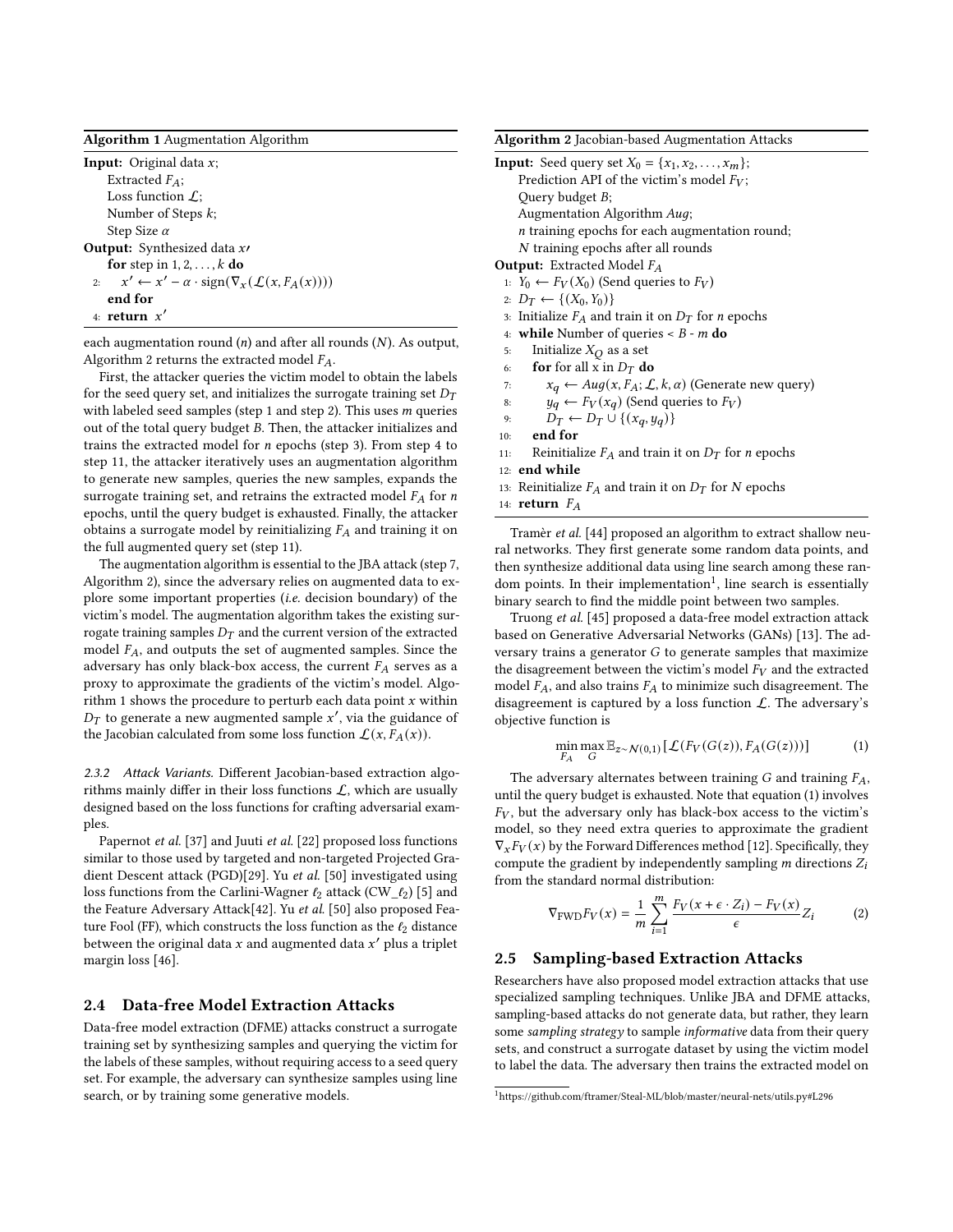Algorithm 1 Augmentation Algorithm

**Input:** Original data  $x$ ; Extracted  $F_A$ ; Loss function  $\mathcal{L}$ : Number of Steps k; Step Size  $\alpha$ Output: Synthesized data  $x$ for step in  $1, 2, \ldots, k$  do 2:  $x' \leftarrow x' - \alpha \cdot \text{sign}(\nabla_x(\mathcal{L}(x, F_A(x))))$ end for 4: return  $x'$ 

<span id="page-2-8"></span>each augmentation round  $(n)$  and after all rounds  $(N)$ . As output, Algorithm [2](#page-2-1) returns the extracted model  $F_A$ .

First, the attacker queries the victim model to obtain the labels for the seed query set, and initializes the surrogate training set  $D_T$ with labeled seed samples (step [1](#page-2-2) and step [2\)](#page-2-3). This uses  $m$  queries out of the total query budget  $B$ . Then, the attacker initializes and trains the extracted model for  $n$  epochs (step [3\)](#page-2-4). From step [4](#page-2-5) to step [11,](#page-2-6) the attacker iteratively uses an augmentation algorithm to generate new samples, queries the new samples, expands the surrogate training set, and retrains the extracted model  $F_A$  for n epochs, until the query budget is exhausted. Finally, the attacker obtains a surrogate model by reinitializing  $F_A$  and training it on the full augmented query set (step [11\)](#page-2-6).

The augmentation algorithm is essential to the JBA attack (step [7,](#page-2-7) Algorithm [2\)](#page-2-1), since the adversary relies on augmented data to explore some important properties (i.e. decision boundary) of the victim's model. The augmentation algorithm takes the existing surrogate training samples  $D_T$  and the current version of the extracted model  $F_A$ , and outputs the set of augmented samples. Since the adversary has only black-box access, the current  $F_A$  serves as a proxy to approximate the gradients of the victim's model. Algo-rithm [1](#page-2-8) shows the procedure to perturb each data point  $x$  within  $D_T$  to generate a new augmented sample x', via the guidance of the Jacobian calculated from some loss function  $\mathcal{L}(x, F_A(x))$ .

2.3.2 Attack Variants. Different Jacobian-based extraction algorithms mainly differ in their loss functions  $\mathcal{L}$ , which are usually designed based on the loss functions for crafting adversarial examples.

Papernot et al. [\[37\]](#page-10-1) and Juuti et al. [\[22\]](#page-10-0) proposed loss functions similar to those used by targeted and non-targeted Projected Gradient Descent attack (PGD)[\[29\]](#page-10-14). Yu et al. [\[50\]](#page-11-1) investigated using loss functions from the Carlini-Wagner  $\ell_2$  attack (CW\_ $\ell_2$ ) [\[5\]](#page-10-15) and the Feature Adversary Attack[\[42\]](#page-10-16). Yu et al. [\[50\]](#page-11-1) also proposed Feature Fool (FF), which constructs the loss function as the  $\ell_2$  distance between the original data  $x$  and augmented data  $x^\prime$  plus a triplet margin loss [\[46\]](#page-10-17).

## <span id="page-2-0"></span>2.4 Data-free Model Extraction Attacks

Data-free model extraction (DFME) attacks construct a surrogate training set by synthesizing samples and querying the victim for the labels of these samples, without requiring access to a seed query set. For example, the adversary can synthesize samples using line search, or by training some generative models.

<span id="page-2-5"></span><span id="page-2-3"></span>Algorithm 2 Jacobian-based Augmentation Attacks

<span id="page-2-4"></span><span id="page-2-2"></span>

| Algoritumi 2 jacobian-based Augmentation Attacks                                       |
|----------------------------------------------------------------------------------------|
| <b>Input:</b> Seed query set $X_0 = \{x_1, x_2, , x_m\}$ ;                             |
| Prediction API of the victim's model $F_V$ ;                                           |
| Query budget B;                                                                        |
| Augmentation Algorithm Auq;                                                            |
| $n$ training epochs for each augmentation round;                                       |
| N training epochs after all rounds                                                     |
| <b>Output:</b> Extracted Model $F_A$                                                   |
| 1: $Y_0 \leftarrow F_V(X_0)$ (Send queries to $F_V$ )                                  |
| 2: $D_T$ ← {(X <sub>0</sub> , Y <sub>0</sub> )}                                        |
| 3. Initialize $F_A$ and train it on $D_T$ for <i>n</i> epochs                          |
| 4: while Number of queries $\lt B$ - m do                                              |
| Initialize $X_Q$ as a set<br>5:                                                        |
| <b>for</b> for all x in $D_T$ <b>do</b><br>6:                                          |
| $x_q \leftarrow \text{Aug}(x, F_A; \mathcal{L}, k, \alpha)$ (Generate new query)<br>7: |
| $y_q \leftarrow F_V(x_q)$ (Send queries to $F_V$ )<br>8:                               |
| $D_T \leftarrow D_T \cup \{(x_q, y_q)\}\$<br>9:                                        |
| end for<br>10:                                                                         |
| Reinitialize $F_A$ and train it on $D_T$ for <i>n</i> epochs<br>11:                    |
| $12:$ end while                                                                        |
| 13: Reinitialize $F_A$ and train it on $D_T$ for N epochs                              |
| 14: <b>return</b> $F_A$                                                                |
| Tromar et al [44] proposed on elgorithm to extrest she                                 |

<span id="page-2-7"></span><span id="page-2-6"></span><span id="page-2-1"></span>Tramèr et al. [\[44\]](#page-10-7) proposed an algorithm to extract shallow neural networks. They first generate some random data points, and then synthesize additional data using line search among these ran-dom points. In their implementation<sup>[1](#page-2-9)</sup>, line search is essentially binary search to find the middle point between two samples.

Truong et al. [\[45\]](#page-10-2) proposed a data-free model extraction attack based on Generative Adversarial Networks (GANs) [\[13\]](#page-10-18). The adversary trains a generator  $G$  to generate samples that maximize the disagreement between the victim's model  $F_V$  and the extracted model  $F_A$ , and also trains  $F_A$  to minimize such disagreement. The disagreement is captured by a loss function  $\mathcal{L}$ . The adversary's objective function is

<span id="page-2-10"></span>
$$
\min_{F_A} \max_{G} \mathbb{E}_{z \sim \mathcal{N}(0,1)} \left[ \mathcal{L}(F_V(G(z)), F_A(G(z))) \right] \tag{1}
$$

The adversary alternates between training  $G$  and training  $F_A$ , until the query budget is exhausted. Note that equation [\(1\)](#page-2-10) involves  $F_V$ , but the adversary only has black-box access to the victim's model, so they need extra queries to approximate the gradient  $\nabla_x F_V(x)$  by the Forward Differences method [\[12\]](#page-10-19). Specifically, they compute the gradient by independently sampling  $m$  directions  $Z_i$ from the standard normal distribution:

$$
\nabla_{\text{FWD}} F_V(x) = \frac{1}{m} \sum_{i=1}^{m} \frac{F_V(x + \epsilon \cdot Z_i) - F_V(x)}{\epsilon} Z_i \tag{2}
$$

## <span id="page-2-11"></span>2.5 Sampling-based Extraction Attacks

Researchers have also proposed model extraction attacks that use specialized sampling techniques. Unlike JBA and DFME attacks, sampling-based attacks do not generate data, but rather, they learn some sampling strategy to sample informative data from their query sets, and construct a surrogate dataset by using the victim model to label the data. The adversary then trains the extracted model on

<span id="page-2-9"></span><sup>1</sup>https://github.com/ftramer/Steal-ML/blob/master/neural-nets/utils.py#L296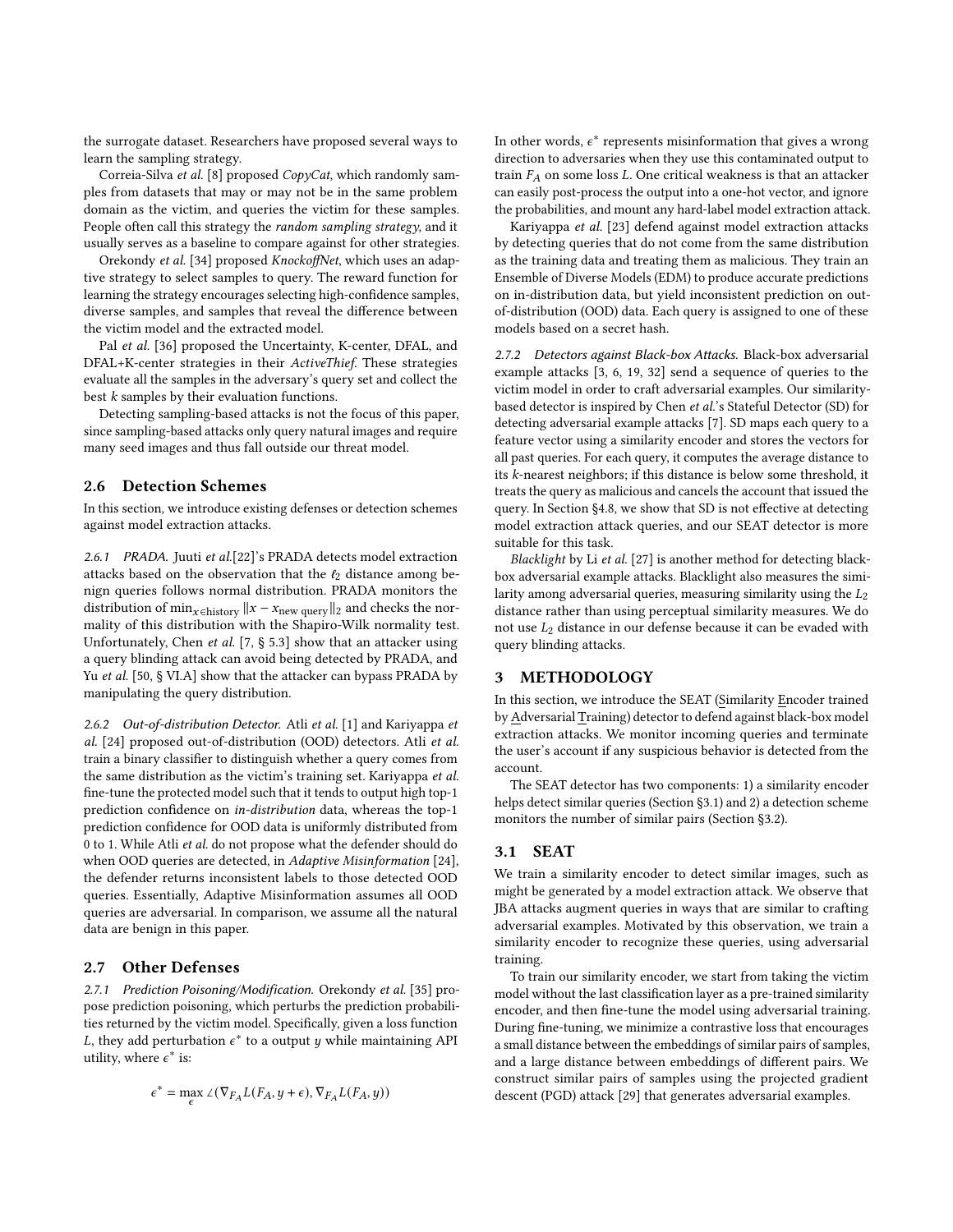the surrogate dataset. Researchers have proposed several ways to learn the sampling strategy.

Correia-Silva et al. [\[8\]](#page-10-6) proposed CopyCat, which randomly samples from datasets that may or may not be in the same problem domain as the victim, and queries the victim for these samples. People often call this strategy the *random sampling strategy*, and it usually serves as a baseline to compare against for other strategies.

Orekondy et al. [\[34\]](#page-10-20) proposed KnockoffNet, which uses an adaptive strategy to select samples to query. The reward function for learning the strategy encourages selecting high-confidence samples, diverse samples, and samples that reveal the difference between the victim model and the extracted model.

Pal et al. [\[36\]](#page-10-21) proposed the Uncertainty, K-center, DFAL, and DFAL+K-center strategies in their ActiveThief. These strategies evaluate all the samples in the adversary's query set and collect the best k samples by their evaluation functions.

Detecting sampling-based attacks is not the focus of this paper, since sampling-based attacks only query natural images and require many seed images and thus fall outside our threat model.

## <span id="page-3-2"></span>2.6 Detection Schemes

In this section, we introduce existing defenses or detection schemes against model extraction attacks.

2.6.1 PRADA. Juuti et al.[\[22\]](#page-10-0)'s PRADA detects model extraction attacks based on the observation that the  $l_2$  distance among benign queries follows normal distribution. PRADA monitors the distribution of min<sub> $x \in$ history</sub>  $||x - x_{\text{new query}}||_2$  and checks the normality of this distribution with the Shapiro-Wilk normality test. Unfortunately, Chen et al. [\[7,](#page-10-3) § 5.3] show that an attacker using a query blinding attack can avoid being detected by PRADA, and Yu et al. [\[50,](#page-11-1) § VI.A] show that the attacker can bypass PRADA by manipulating the query distribution.

2.6.2 Out-of-distribution Detector. Atli et al. [\[1\]](#page-10-4) and Kariyappa et al. [\[24\]](#page-10-22) proposed out-of-distribution (OOD) detectors. Atli et al. train a binary classifier to distinguish whether a query comes from the same distribution as the victim's training set. Kariyappa et al. fine-tune the protected model such that it tends to output high top-1 prediction confidence on in-distribution data, whereas the top-1 prediction confidence for OOD data is uniformly distributed from 0 to 1. While Atli et al. do not propose what the defender should do when OOD queries are detected, in Adaptive Misinformation [\[24\]](#page-10-22), the defender returns inconsistent labels to those detected OOD queries. Essentially, Adaptive Misinformation assumes all OOD queries are adversarial. In comparison, we assume all the natural data are benign in this paper.

# <span id="page-3-3"></span>2.7 Other Defenses

2.7.1 Prediction Poisoning/Modification. Orekondy et al. [\[35\]](#page-10-23) propose prediction poisoning, which perturbs the prediction probabilities returned by the victim model. Specifically, given a loss function L, they add perturbation  $\epsilon^*$  to a output y while maintaining API utility, where  $\epsilon^*$  is:

$$
\epsilon^* = \max_{\epsilon} \angle (\nabla_{F_A} L(F_A, y + \epsilon), \nabla_{F_A} L(F_A, y))
$$

In other words,  $\epsilon^*$  represents misinformation that gives a wrong direction to adversaries when they use this contaminated output to train  $F_A$  on some loss  $L$ . One critical weakness is that an attacker can easily post-process the output into a one-hot vector, and ignore the probabilities, and mount any hard-label model extraction attack.

Kariyappa et al. [\[23\]](#page-10-24) defend against model extraction attacks by detecting queries that do not come from the same distribution as the training data and treating them as malicious. They train an Ensemble of Diverse Models (EDM) to produce accurate predictions on in-distribution data, but yield inconsistent prediction on outof-distribution (OOD) data. Each query is assigned to one of these models based on a secret hash.

2.7.2 Detectors against Black-box Attacks. Black-box adversarial example attacks [\[3,](#page-10-25) [6,](#page-10-26) [19,](#page-10-27) [32\]](#page-10-28) send a sequence of queries to the victim model in order to craft adversarial examples. Our similaritybased detector is inspired by Chen et al.'s Stateful Detector (SD) for detecting adversarial example attacks [\[7\]](#page-10-3). SD maps each query to a feature vector using a similarity encoder and stores the vectors for all past queries. For each query, it computes the average distance to its k-nearest neighbors; if this distance is below some threshold, it treats the query as malicious and cancels the account that issued the query. In Section [§4.8,](#page-8-0) we show that SD is not effective at detecting model extraction attack queries, and our SEAT detector is more suitable for this task.

Blacklight by Li et al. [\[27\]](#page-10-13) is another method for detecting blackbox adversarial example attacks. Blacklight also measures the similarity among adversarial queries, measuring similarity using the  $L_2$ distance rather than using perceptual similarity measures. We do not use  $L_2$  distance in our defense because it can be evaded with query blinding attacks.

#### <span id="page-3-0"></span>3 METHODOLOGY

In this section, we introduce the SEAT (Similarity Encoder trained byAdversarial Training) detector to defend against black-box model extraction attacks. We monitor incoming queries and terminate the user's account if any suspicious behavior is detected from the account.

The SEAT detector has two components: 1) a similarity encoder helps detect similar queries (Section [§3.1\)](#page-3-1) and 2) a detection scheme monitors the number of similar pairs (Section [§3.2\)](#page-4-0).

#### <span id="page-3-1"></span>3.1 SEAT

We train a similarity encoder to detect similar images, such as might be generated by a model extraction attack. We observe that JBA attacks augment queries in ways that are similar to crafting adversarial examples. Motivated by this observation, we train a similarity encoder to recognize these queries, using adversarial training.

To train our similarity encoder, we start from taking the victim model without the last classification layer as a pre-trained similarity encoder, and then fine-tune the model using adversarial training. During fine-tuning, we minimize a contrastive loss that encourages a small distance between the embeddings of similar pairs of samples, and a large distance between embeddings of different pairs. We construct similar pairs of samples using the projected gradient descent (PGD) attack [\[29\]](#page-10-14) that generates adversarial examples.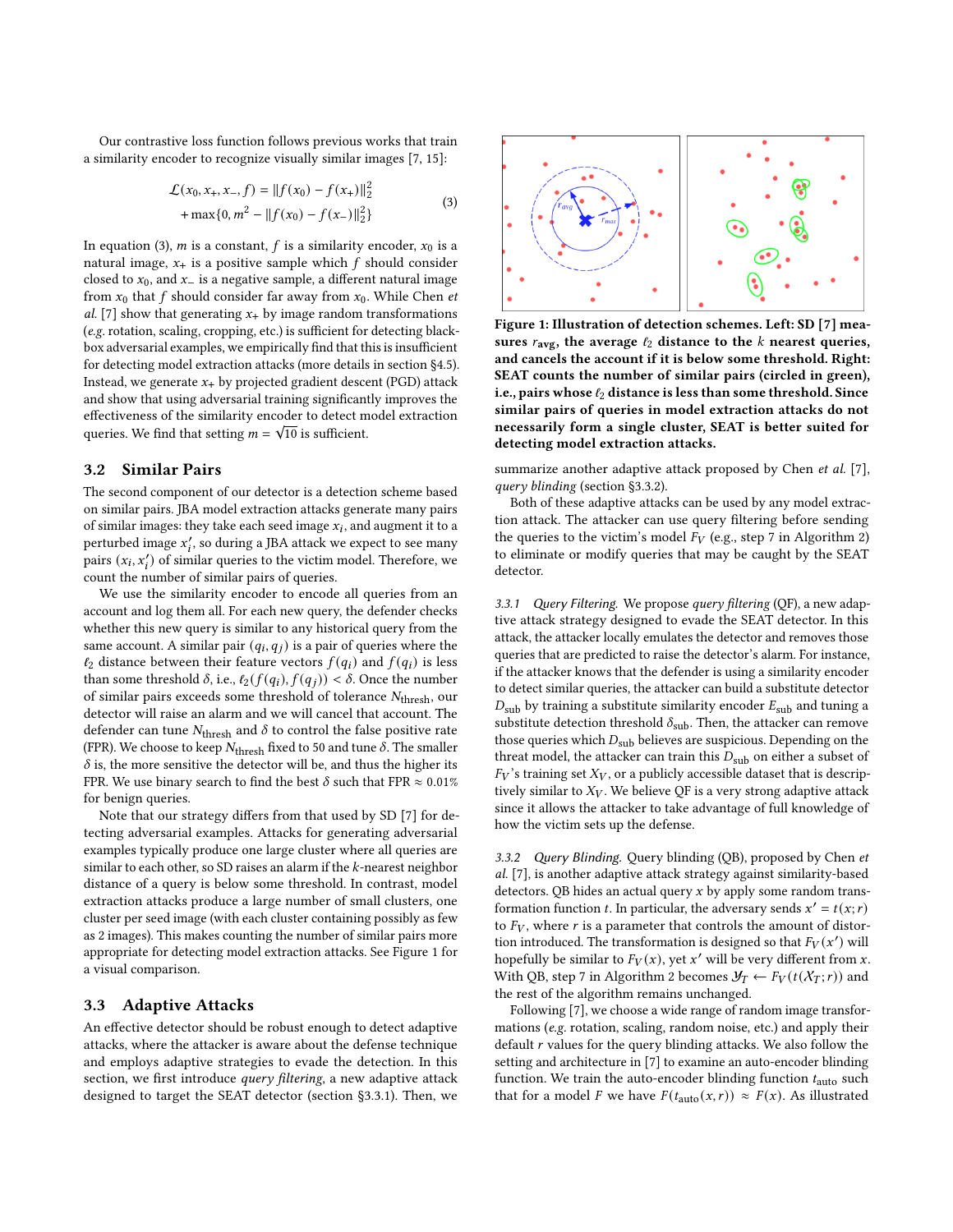Our contrastive loss function follows previous works that train a similarity encoder to recognize visually similar images [\[7,](#page-10-3) [15\]](#page-10-29):

$$
\mathcal{L}(x_0, x_+, x_-, f) = ||f(x_0) - f(x_+)||_2^2
$$
  
+ max{0, m<sup>2</sup> - ||f(x\_0) - f(x\_-)||\_2^2} (3)

<span id="page-4-1"></span>In equation [\(3\)](#page-4-1), *m* is a constant, *f* is a similarity encoder,  $x_0$  is a natural image,  $x_{+}$  is a positive sample which f should consider closed to  $x_0$ , and  $x_$  is a negative sample, a different natural image from  $x_0$  that f should consider far away from  $x_0$ . While Chen et al. [\[7\]](#page-10-3) show that generating  $x_{+}$  by image random transformations (e.g. rotation, scaling, cropping, etc.) is sufficient for detecting blackbox adversarial examples, we empirically find that this is insufficient for detecting model extraction attacks (more details in section [§4.5\)](#page-7-0). Instead, we generate  $x_{+}$  by projected gradient descent (PGD) attack and show that using adversarial training significantly improves the effectiveness of the similarity encoder to detect model extraction √ queries. We find that setting  $m = \sqrt{10}$  is sufficient.

## <span id="page-4-0"></span>3.2 Similar Pairs

The second component of our detector is a detection scheme based on similar pairs. JBA model extraction attacks generate many pairs of similar images: they take each seed image  $x_i$ , and augment it to a perturbed image  $x_i'$ , so during a JBA attack we expect to see many pairs  $(x_i, x'_i)$  of similar queries to the victim model. Therefore, we count the number of similar pairs of queries.

We use the similarity encoder to encode all queries from an account and log them all. For each new query, the defender checks whether this new query is similar to any historical query from the same account. A similar pair  $(q_i, q_j)$  is a pair of queries where the  $l_2$  distance between their feature vectors  $f(q_i)$  and  $f(q_i)$  is less than some threshold  $\delta$ , i.e.,  $\ell_2(f(q_i), f(q_j)) < \delta$ . Once the number of similar pairs exceeds some threshold of tolerance  $N_{\text{thresh}}$ , our detector will raise an alarm and we will cancel that account. The defender can tune  $N_{\rm thresh}$  and  $\delta$  to control the false positive rate (FPR). We choose to keep  $N_{\rm thresh}$  fixed to 50 and tune  $\delta$ . The smaller  $\delta$  is, the more sensitive the detector will be, and thus the higher its FPR. We use binary search to find the best  $\delta$  such that FPR  $\approx 0.01\%$ for benign queries.

Note that our strategy differs from that used by SD [\[7\]](#page-10-3) for detecting adversarial examples. Attacks for generating adversarial examples typically produce one large cluster where all queries are similar to each other, so SD raises an alarm if the  $k$ -nearest neighbor distance of a query is below some threshold. In contrast, model extraction attacks produce a large number of small clusters, one cluster per seed image (with each cluster containing possibly as few as 2 images). This makes counting the number of similar pairs more appropriate for detecting model extraction attacks. See Figure [1](#page-4-2) for a visual comparison.

#### <span id="page-4-5"></span>3.3 Adaptive Attacks

An effective detector should be robust enough to detect adaptive attacks, where the attacker is aware about the defense technique and employs adaptive strategies to evade the detection. In this section, we first introduce query filtering, a new adaptive attack designed to target the SEAT detector (section [§3.3.1\)](#page-4-3). Then, we

<span id="page-4-2"></span>

Figure 1: Illustration of detection schemes. Left: SD [\[7\]](#page-10-3) measures  $r_{\text{avg}}$ , the average  $l_2$  distance to the  $k$  nearest queries, and cancels the account if it is below some threshold. Right: SEAT counts the number of similar pairs (circled in green), i.e., pairs whose  $\ell_2$  distance is less than some threshold. Since similar pairs of queries in model extraction attacks do not necessarily form a single cluster, SEAT is better suited for detecting model extraction attacks.

summarize another adaptive attack proposed by Chen et al. [\[7\]](#page-10-3), query blinding (section [§3.3.2\)](#page-4-4).

Both of these adaptive attacks can be used by any model extraction attack. The attacker can use query filtering before sending the queries to the victim's model  $F_V$  (e.g., step [7](#page-2-7) in Algorithm [2\)](#page-2-1) to eliminate or modify queries that may be caught by the SEAT detector.

<span id="page-4-3"></span>3.3.1 Query Filtering. We propose query filtering (QF), a new adaptive attack strategy designed to evade the SEAT detector. In this attack, the attacker locally emulates the detector and removes those queries that are predicted to raise the detector's alarm. For instance, if the attacker knows that the defender is using a similarity encoder to detect similar queries, the attacker can build a substitute detector  $D<sub>sub</sub>$  by training a substitute similarity encoder  $E<sub>sub</sub>$  and tuning a substitute detection threshold  $\delta_{\text{sub}}$ . Then, the attacker can remove those queries which  $D_{sub}$  believes are suspicious. Depending on the threat model, the attacker can train this  $D_{sub}$  on either a subset of  $F_V$ 's training set  $X_V$ , or a publicly accessible dataset that is descriptively similar to  $X_V$ . We believe QF is a very strong adaptive attack since it allows the attacker to take advantage of full knowledge of how the victim sets up the defense.

<span id="page-4-4"></span>3.3.2 Query Blinding. Query blinding (QB), proposed by Chen et al. [\[7\]](#page-10-3), is another adaptive attack strategy against similarity-based detectors. QB hides an actual query  $x$  by apply some random transformation function t. In particular, the adversary sends  $x' = t(x; r)$ to  $F_V$ , where r is a parameter that controls the amount of distortion introduced. The transformation is designed so that  $F_V(x')$  will hopefully be similar to  $F_V(x)$ , yet x' will be very different from x. With QB, step [7](#page-2-7) in Algorithm [2](#page-2-1) becomes  $\mathcal{Y}_T \leftarrow F_V(t(\mathcal{X}_T; r))$  and the rest of the algorithm remains unchanged.

Following [\[7\]](#page-10-3), we choose a wide range of random image transformations (e.g. rotation, scaling, random noise, etc.) and apply their default  $r$  values for the query blinding attacks. We also follow the setting and architecture in [\[7\]](#page-10-3) to examine an auto-encoder blinding function. We train the auto-encoder blinding function  $t_{\text{auto}}$  such that for a model F we have  $F(t_{\text{auto}}(x, r)) \approx F(x)$ . As illustrated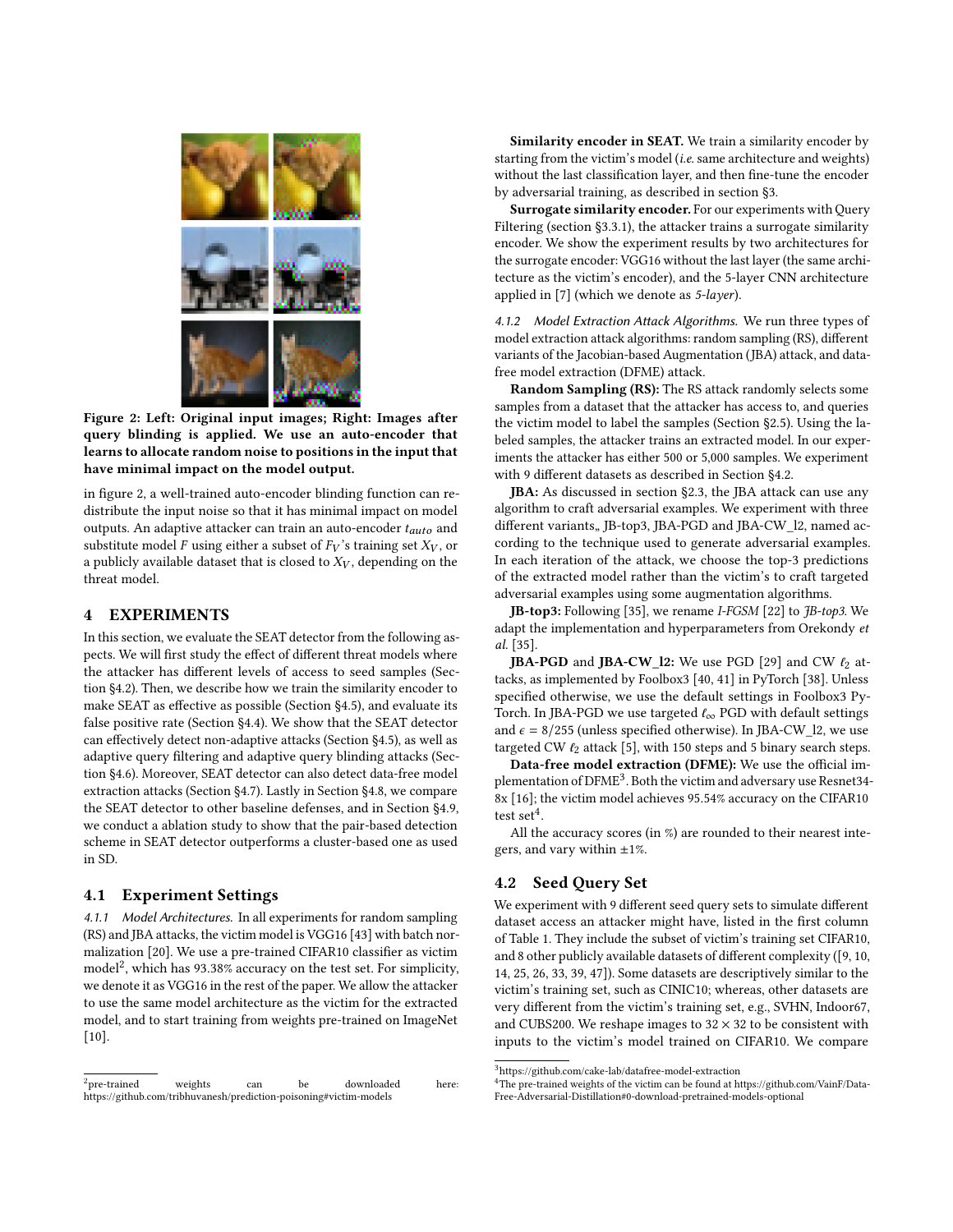<span id="page-5-1"></span>

Figure 2: Left: Original input images; Right: Images after query blinding is applied. We use an auto-encoder that learns to allocate random noise to positions in the input that have minimal impact on the model output.

in figure [2,](#page-5-1) a well-trained auto-encoder blinding function can redistribute the input noise so that it has minimal impact on model outputs. An adaptive attacker can train an auto-encoder  $t_{auto}$  and substitute model F using either a subset of  $F_V$ 's training set  $X_V$ , or a publicly available dataset that is closed to  $X_V$ , depending on the threat model.

## <span id="page-5-0"></span>4 EXPERIMENTS

In this section, we evaluate the SEAT detector from the following aspects. We will first study the effect of different threat models where the attacker has different levels of access to seed samples (Section [§4.2\)](#page-5-2). Then, we describe how we train the similarity encoder to make SEAT as effective as possible (Section [§4.5\)](#page-7-0), and evaluate its false positive rate (Section [§4.4\)](#page-7-1). We show that the SEAT detector can effectively detect non-adaptive attacks (Section [§4.5\)](#page-7-0), as well as adaptive query filtering and adaptive query blinding attacks (Section [§4.6\)](#page-8-1). Moreover, SEAT detector can also detect data-free model extraction attacks (Section [§4.7\)](#page-8-2). Lastly in Section [§4.8,](#page-8-0) we compare the SEAT detector to other baseline defenses, and in Section [§4.9,](#page-9-0) we conduct a ablation study to show that the pair-based detection scheme in SEAT detector outperforms a cluster-based one as used in SD.

## 4.1 Experiment Settings

4.1.1 Model Architectures. In all experiments for random sampling (RS) and JBA attacks, the victim model is VGG16 [\[43\]](#page-10-30) with batch normalization [\[20\]](#page-10-31). We use a pre-trained CIFAR10 classifier as victim model<sup>[2](#page-5-3)</sup>, which has 93.38% accuracy on the test set. For simplicity, we denote it as VGG16 in the rest of the paper. We allow the attacker to use the same model architecture as the victim for the extracted model, and to start training from weights pre-trained on ImageNet [\[10\]](#page-10-32).

Similarity encoder in SEAT. We train a similarity encoder by starting from the victim's model (i.e. same architecture and weights) without the last classification layer, and then fine-tune the encoder by adversarial training, as described in section [§3.](#page-3-0)

Surrogate similarity encoder. For our experiments with Query Filtering (section [§3.3.1\)](#page-4-3), the attacker trains a surrogate similarity encoder. We show the experiment results by two architectures for the surrogate encoder: VGG16 without the last layer (the same architecture as the victim's encoder), and the 5-layer CNN architecture applied in [\[7\]](#page-10-3) (which we denote as 5-layer).

4.1.2 Model Extraction Attack Algorithms. We run three types of model extraction attack algorithms: random sampling (RS), different variants of the Jacobian-based Augmentation (JBA) attack, and datafree model extraction (DFME) attack.

Random Sampling (RS): The RS attack randomly selects some samples from a dataset that the attacker has access to, and queries the victim model to label the samples (Section [§2.5\)](#page-2-11). Using the labeled samples, the attacker trains an extracted model. In our experiments the attacker has either 500 or 5,000 samples. We experiment with 9 different datasets as described in Section [§4.2.](#page-5-2)

JBA: As discussed in section [§2.3,](#page-1-1) the JBA attack can use any algorithm to craft adversarial examples. We experiment with three different variants, JB-top3, JBA-PGD and JBA-CW\_l2, named according to the technique used to generate adversarial examples. In each iteration of the attack, we choose the top-3 predictions of the extracted model rather than the victim's to craft targeted adversarial examples using some augmentation algorithms.

**JB-top3:** Following [\[35\]](#page-10-23), we rename *I-FGSM* [\[22\]](#page-10-0) to *JB-top3*. We adapt the implementation and hyperparameters from Orekondy et al. [\[35\]](#page-10-23).

**JBA-PGD** and **JBA-CW\_l2:** We use PGD [\[29\]](#page-10-14) and CW  $\ell_2$  attacks, as implemented by Foolbox3 [\[40,](#page-10-33) [41\]](#page-10-34) in PyTorch [\[38\]](#page-10-35). Unless specified otherwise, we use the default settings in Foolbox3 Py-Torch. In JBA-PGD we use targeted  $\ell_{\infty}$  PGD with default settings and  $\epsilon = 8/255$  (unless specified otherwise). In JBA-CW\_l2, we use targeted CW  $\ell_2$  attack [\[5\]](#page-10-15), with 150 steps and 5 binary search steps.

Data-free model extraction (DFME): We use the official im-plementation of DFME<sup>[3](#page-5-4)</sup>. Both the victim and adversary use Resnet34-8x [\[16\]](#page-10-36); the victim model achieves 95.54% accuracy on the CIFAR10 test set<sup>[4](#page-5-5)</sup>.

All the accuracy scores (in %) are rounded to their nearest integers, and vary within  $\pm 1\%$ .

## <span id="page-5-2"></span>4.2 Seed Query Set

We experiment with 9 different seed query sets to simulate different dataset access an attacker might have, listed in the first column of Table [1.](#page-6-0) They include the subset of victim's training set CIFAR10, and 8 other publicly available datasets of different complexity ([\[9,](#page-10-37) [10,](#page-10-32) [14,](#page-10-38) [25,](#page-10-39) [26,](#page-10-40) [33,](#page-10-41) [39,](#page-10-42) [47\]](#page-11-4)). Some datasets are descriptively similar to the victim's training set, such as CINIC10; whereas, other datasets are very different from the victim's training set, e.g., SVHN, Indoor67, and CUBS200. We reshape images to  $32 \times 32$  to be consistent with inputs to the victim's model trained on CIFAR10. We compare

<span id="page-5-3"></span> $2$ pre-trained weights can be downloaded here https://github.com/tribhuvanesh/prediction-poisoning#victim-models

<span id="page-5-4"></span> $^3$ https://github.com/cake-lab/datafree-model-extraction

<span id="page-5-5"></span> ${}^4\mathrm{The}$  pre-trained weights of the victim can be found at https://github.com/VainF/Data-Free-Adversarial-Distillation#0-download-pretrained-models-optional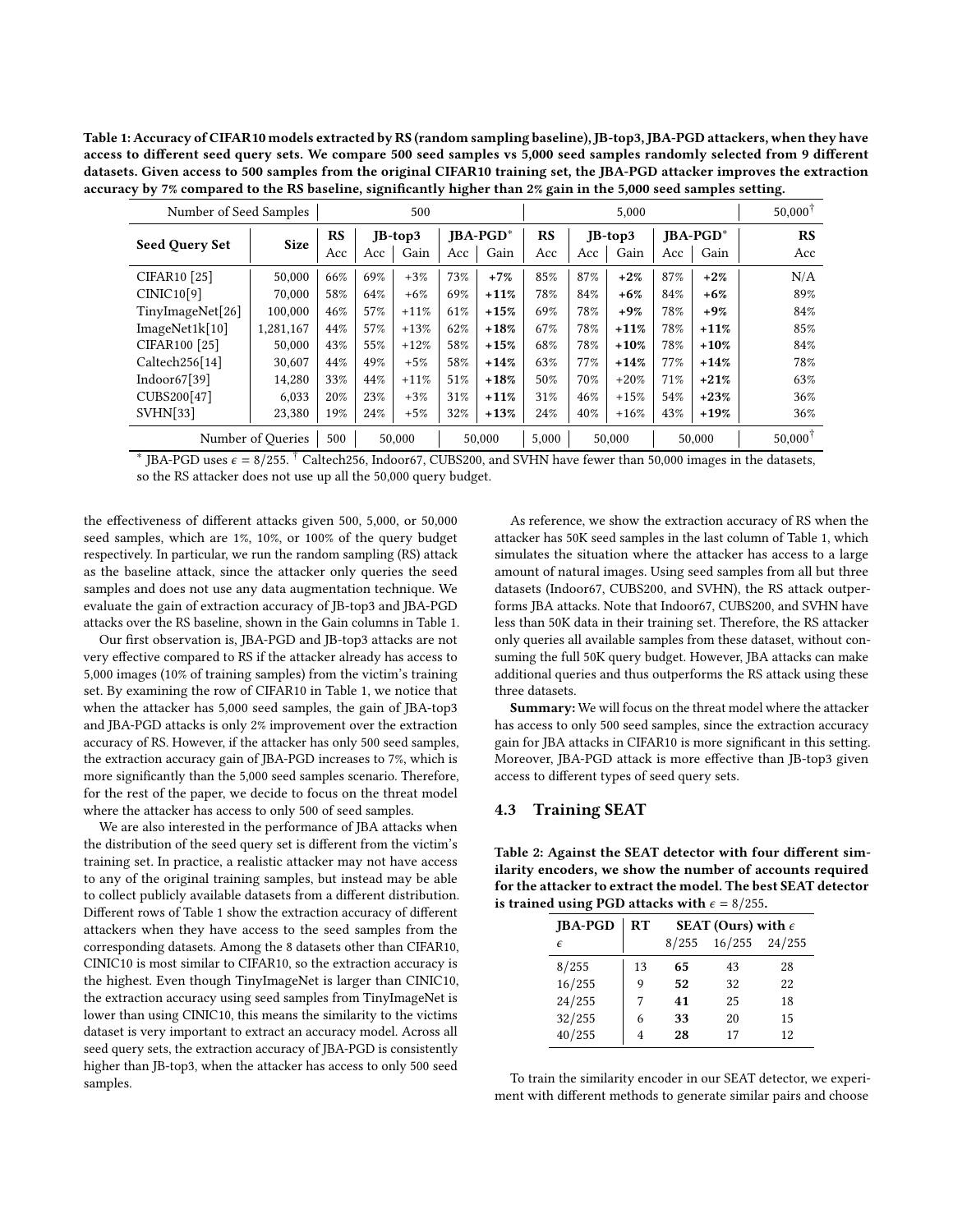<span id="page-6-0"></span>Table 1: Accuracy of CIFAR10 models extracted by RS (random sampling baseline), JB-top3, JBA-PGD attackers, when they have access to different seed query sets. We compare 500 seed samples vs 5,000 seed samples randomly selected from 9 different datasets. Given access to 500 samples from the original CIFAR10 training set, the JBA-PGD attacker improves the extraction accuracy by 7% compared to the RS baseline, significantly higher than 2% gain in the 5,000 seed samples setting.

| Number of Seed Samples |                   | 500 |     |               | 5.000 |             |       |     |           | $50.000$ <sup>T</sup> |             |                    |
|------------------------|-------------------|-----|-----|---------------|-------|-------------|-------|-----|-----------|-----------------------|-------------|--------------------|
| Seed Query Set         | <b>Size</b>       | RS  |     | $JB$ -top $3$ |       | $IBA-PGD^*$ | RS    |     | $IB-top3$ |                       | $IBA-PGD^*$ | RS                 |
|                        |                   | Acc | Acc | Gain          | Acc   | Gain        | Acc   | Acc | Gain      | Acc                   | Gain        | Acc                |
| <b>CIFAR10</b> [25]    | 50,000            | 66% | 69% | $+3%$         | 73%   | $+7%$       | 85%   | 87% | $+2%$     | 87%                   | $+2%$       | N/A                |
| CINIC10[9]             | 70,000            | 58% | 64% | $+6%$         | 69%   | $+11%$      | 78%   | 84% | $+6%$     | 84%                   | $+6%$       | 89%                |
| TinyImageNet[26]       | 100,000           | 46% | 57% | $+11%$        | 61%   | $+15%$      | 69%   | 78% | $+9%$     | 78%                   | $+9%$       | 84%                |
| ImageNet1k[10]         | 1,281,167         | 44% | 57% | $+13%$        | 62%   | $+18%$      | 67%   | 78% | $+11%$    | 78%                   | $+11%$      | 85%                |
| CIFAR100 [25]          | 50,000            | 43% | 55% | $+12%$        | 58%   | $+15%$      | 68%   | 78% | $+10%$    | 78%                   | $+10%$      | 84%                |
| Caltech256[14]         | 30,607            | 44% | 49% | $+5%$         | 58%   | $+14%$      | 63%   | 77% | $+14%$    | 77%                   | $+14%$      | 78%                |
| Indoor $67[39]$        | 14.280            | 33% | 44% | $+11%$        | 51%   | $+18%$      | 50%   | 70% | $+20%$    | 71%                   | $+21%$      | 63%                |
| CUBS200[47]            | 6.033             | 20% | 23% | $+3%$         | 31%   | $+11%$      | 31%   | 46% | $+15%$    | 54%                   | $+23%$      | 36%                |
| SVHN[33]               | 23,380            | 19% | 24% | $+5%$         | 32%   | $+13%$      | 24%   | 40% | $+16%$    | 43%                   | $+19%$      | 36%                |
|                        | Number of Oueries | 500 |     | 50,000        |       | 50,000      | 5,000 |     | 50,000    |                       | 50,000      | $50.000^{\dagger}$ |

\* JBA-PGD uses  $\epsilon = 8/255$ . <sup>†</sup> Caltech256, Indoor67, CUBS200, and SVHN have fewer than 50,000 images in the datasets, so the RS attacker does not use up all the 50,000 query budget.

the effectiveness of different attacks given 500, 5,000, or 50,000 seed samples, which are 1%, 10%, or 100% of the query budget respectively. In particular, we run the random sampling (RS) attack as the baseline attack, since the attacker only queries the seed samples and does not use any data augmentation technique. We evaluate the gain of extraction accuracy of JB-top3 and JBA-PGD attacks over the RS baseline, shown in the Gain columns in Table [1.](#page-6-0)

Our first observation is, JBA-PGD and JB-top3 attacks are not very effective compared to RS if the attacker already has access to 5,000 images (10% of training samples) from the victim's training set. By examining the row of CIFAR10 in Table [1,](#page-6-0) we notice that when the attacker has 5,000 seed samples, the gain of JBA-top3 and JBA-PGD attacks is only 2% improvement over the extraction accuracy of RS. However, if the attacker has only 500 seed samples, the extraction accuracy gain of JBA-PGD increases to 7%, which is more significantly than the 5,000 seed samples scenario. Therefore, for the rest of the paper, we decide to focus on the threat model where the attacker has access to only 500 of seed samples.

We are also interested in the performance of JBA attacks when the distribution of the seed query set is different from the victim's training set. In practice, a realistic attacker may not have access to any of the original training samples, but instead may be able to collect publicly available datasets from a different distribution. Different rows of Table [1](#page-6-0) show the extraction accuracy of different attackers when they have access to the seed samples from the corresponding datasets. Among the 8 datasets other than CIFAR10, CINIC10 is most similar to CIFAR10, so the extraction accuracy is the highest. Even though TinyImageNet is larger than CINIC10, the extraction accuracy using seed samples from TinyImageNet is lower than using CINIC10, this means the similarity to the victims dataset is very important to extract an accuracy model. Across all seed query sets, the extraction accuracy of JBA-PGD is consistently higher than JB-top3, when the attacker has access to only 500 seed samples.

As reference, we show the extraction accuracy of RS when the attacker has 50K seed samples in the last column of Table [1,](#page-6-0) which simulates the situation where the attacker has access to a large amount of natural images. Using seed samples from all but three datasets (Indoor67, CUBS200, and SVHN), the RS attack outperforms JBA attacks. Note that Indoor67, CUBS200, and SVHN have less than 50K data in their training set. Therefore, the RS attacker only queries all available samples from these dataset, without consuming the full 50K query budget. However, JBA attacks can make additional queries and thus outperforms the RS attack using these three datasets.

Summary: We will focus on the threat model where the attacker has access to only 500 seed samples, since the extraction accuracy gain for JBA attacks in CIFAR10 is more significant in this setting. Moreover, JBA-PGD attack is more effective than JB-top3 given access to different types of seed query sets.

## 4.3 Training SEAT

<span id="page-6-1"></span>Table 2: Against the SEAT detector with four different similarity encoders, we show the number of accounts required for the attacker to extract the model. The best SEAT detector is trained using PGD attacks with  $\epsilon = 8/255$ .

| <b>IBA-PGD</b> | RT | SEAT (Ours) with $\epsilon$ |                   |    |  |  |  |
|----------------|----|-----------------------------|-------------------|----|--|--|--|
| F              |    | 8/255                       | $16/255$ $24/255$ |    |  |  |  |
| 8/255          | 13 | 65                          | 43                | 28 |  |  |  |
| 16/255         | 9  | 52                          | 32                | 22 |  |  |  |
| 24/255         |    | 41                          | 25                | 18 |  |  |  |
| 32/255         | 6  | 33                          | 20                | 15 |  |  |  |
| 40/255         | 4  | 28                          | 17                | 12 |  |  |  |
|                |    |                             |                   |    |  |  |  |

To train the similarity encoder in our SEAT detector, we experiment with different methods to generate similar pairs and choose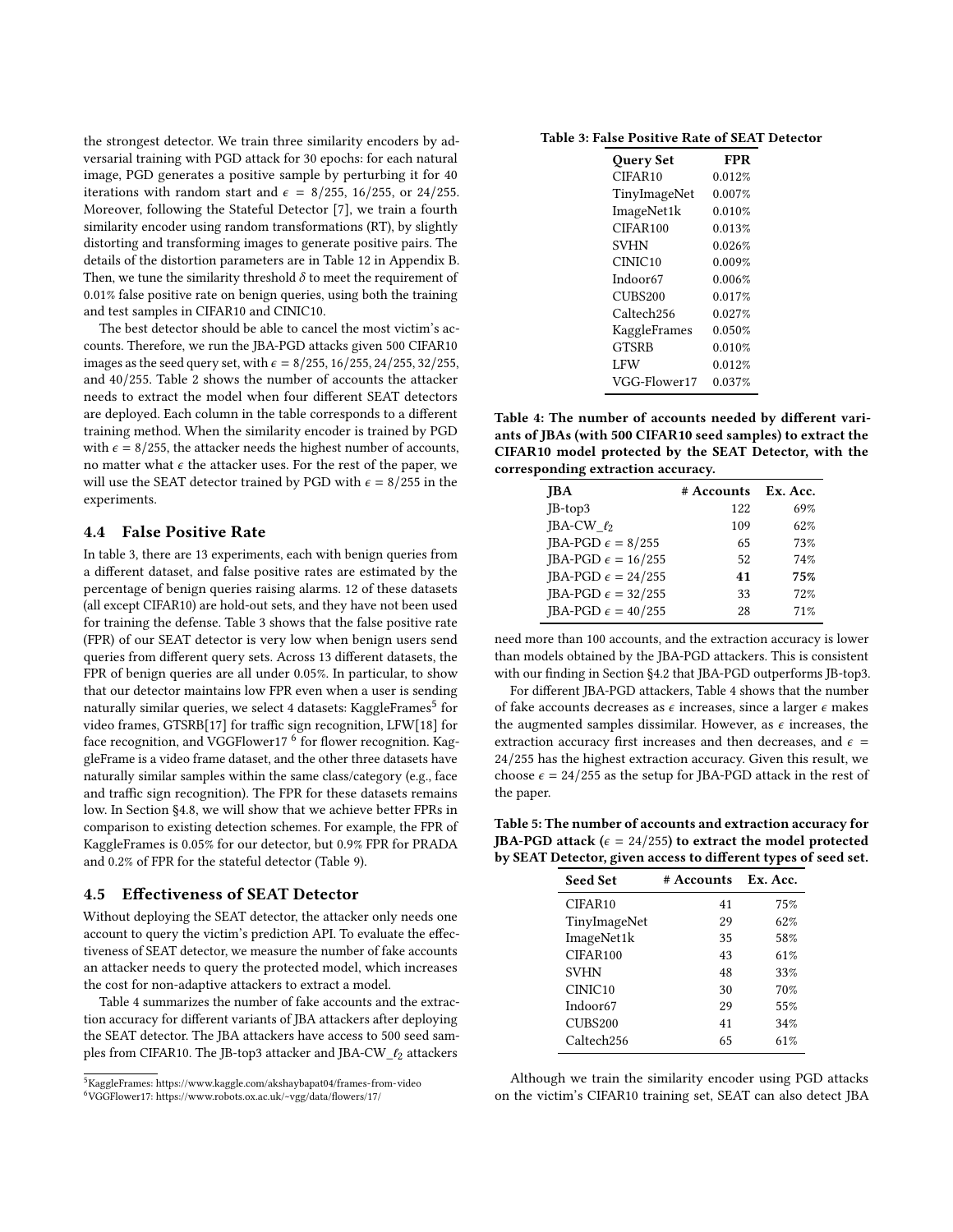the strongest detector. We train three similarity encoders by adversarial training with PGD attack for 30 epochs: for each natural image, PGD generates a positive sample by perturbing it for 40 iterations with random start and  $\epsilon = 8/255$ , 16/255, or 24/255. Moreover, following the Stateful Detector [\[7\]](#page-10-3), we train a fourth similarity encoder using random transformations (RT), by slightly distorting and transforming images to generate positive pairs. The details of the distortion parameters are in Table [12](#page-11-5) in Appendix [B.](#page-11-6) Then, we tune the similarity threshold  $\delta$  to meet the requirement of 0.01% false positive rate on benign queries, using both the training and test samples in CIFAR10 and CINIC10.

The best detector should be able to cancel the most victim's accounts. Therefore, we run the JBA-PGD attacks given 500 CIFAR10 images as the seed query set, with  $\epsilon = 8/255, 16/255, 24/255, 32/255$ , and 40/255. Table [2](#page-6-1) shows the number of accounts the attacker needs to extract the model when four different SEAT detectors are deployed. Each column in the table corresponds to a different training method. When the similarity encoder is trained by PGD with  $\epsilon = 8/255$ , the attacker needs the highest number of accounts, no matter what  $\epsilon$  the attacker uses. For the rest of the paper, we will use the SEAT detector trained by PGD with  $\epsilon = 8/255$  in the experiments.

#### <span id="page-7-1"></span>4.4 False Positive Rate

In table [3,](#page-7-2) there are 13 experiments, each with benign queries from a different dataset, and false positive rates are estimated by the percentage of benign queries raising alarms. 12 of these datasets (all except CIFAR10) are hold-out sets, and they have not been used for training the defense. Table [3](#page-7-2) shows that the false positive rate (FPR) of our SEAT detector is very low when benign users send queries from different query sets. Across 13 different datasets, the FPR of benign queries are all under 0.05%. In particular, to show that our detector maintains low FPR even when a user is sending naturally similar queries, we select 4 datasets: KaggleFrames<sup>[5](#page-7-3)</sup> for video frames, GTSRB[\[17\]](#page-10-43) for traffic sign recognition, LFW[\[18\]](#page-10-44) for face recognition, and VGGFlower17  $^6$  $^6$  for flower recognition. KaggleFrame is a video frame dataset, and the other three datasets have naturally similar samples within the same class/category (e.g., face and traffic sign recognition). The FPR for these datasets remains low. In Section [§4.8,](#page-8-0) we will show that we achieve better FPRs in comparison to existing detection schemes. For example, the FPR of KaggleFrames is 0.05% for our detector, but 0.9% FPR for PRADA and 0.2% of FPR for the stateful detector (Table [9\)](#page-9-1).

#### <span id="page-7-0"></span>4.5 Effectiveness of SEAT Detector

Without deploying the SEAT detector, the attacker only needs one account to query the victim's prediction API. To evaluate the effectiveness of SEAT detector, we measure the number of fake accounts an attacker needs to query the protected model, which increases the cost for non-adaptive attackers to extract a model.

Table [4](#page-7-5) summarizes the number of fake accounts and the extraction accuracy for different variants of JBA attackers after deploying the SEAT detector. The JBA attackers have access to 500 seed samples from CIFAR10. The JB-top3 attacker and JBA-CW\_ $\ell_2$  attackers

<span id="page-7-2"></span>

| Table 3: False Positive Rate of SEAT Detector |  |  |
|-----------------------------------------------|--|--|
|-----------------------------------------------|--|--|

| <b>Query Set</b>     | <b>FPR</b> |
|----------------------|------------|
| CIFAR <sub>10</sub>  | 0.012%     |
| TinyImageNet         | 0.007%     |
| ImageNet1k           | 0.010%     |
| CIFAR100             | 0.013%     |
| <b>SVHN</b>          | 0.026%     |
| CINIC <sub>10</sub>  | 0.009%     |
| Indoor <sub>67</sub> | 0.006%     |
| CUBS200              | 0.017%     |
| Caltech256           | 0.027%     |
| KaggleFrames         | 0.050%     |
| <b>GTSRB</b>         | 0.010%     |
| <b>LFW</b>           | 0.012%     |
| VGG-Flower17         | 0.037%     |

<span id="page-7-5"></span>Table 4: The number of accounts needed by different variants of JBAs (with 500 CIFAR10 seed samples) to extract the CIFAR10 model protected by the SEAT Detector, with the corresponding extraction accuracy.

| <b>IBA</b>                  | # Accounts | Ex. Acc. |
|-----------------------------|------------|----------|
| $JB$ -top $3$               | 122        | 69%      |
| <b>IBA-CW</b> $\ell_2$      | 109        | 62%      |
| JBA-PGD $\epsilon = 8/255$  | 65         | 73%      |
| JBA-PGD $\epsilon = 16/255$ | 52         | 74%      |
| JBA-PGD $\epsilon = 24/255$ | 41         | 75%      |
| JBA-PGD $\epsilon = 32/255$ | 33         | 72%      |
| JBA-PGD $\epsilon = 40/255$ | 28         | 71%      |

need more than 100 accounts, and the extraction accuracy is lower than models obtained by the JBA-PGD attackers. This is consistent with our finding in Section [§4.2](#page-5-2) that JBA-PGD outperforms JB-top3.

For different JBA-PGD attackers, Table [4](#page-7-5) shows that the number of fake accounts decreases as  $\epsilon$  increases, since a larger  $\epsilon$  makes the augmented samples dissimilar. However, as  $\epsilon$  increases, the extraction accuracy first increases and then decreases, and  $\epsilon$  = 24/255 has the highest extraction accuracy. Given this result, we choose  $\epsilon = 24/255$  as the setup for JBA-PGD attack in the rest of the paper.

<span id="page-7-6"></span>Table 5: The number of accounts and extraction accuracy for JBA-PGD attack ( $\epsilon = 24/255$ ) to extract the model protected by SEAT Detector, given access to different types of seed set.

| <b>Seed Set</b>      | # Accounts | Ex. Acc. |
|----------------------|------------|----------|
| CIFAR <sub>10</sub>  | 41         | 75%      |
| TinyImageNet         | 29         | 62%      |
| ImageNet1k           | 35         | 58%      |
| CIFAR100             | 43         | 61%      |
| <b>SVHN</b>          | 48         | 33%      |
| CINIC <sub>10</sub>  | 30         | 70%      |
| Indoor <sub>67</sub> | 29         | 55%      |
| CUBS200              | 41         | 34%      |
| Caltech256           | 65         | 61%      |

Although we train the similarity encoder using PGD attacks on the victim's CIFAR10 training set, SEAT can also detect JBA

<span id="page-7-3"></span> $^5$ KaggleFrames:<https://www.kaggle.com/akshaybapat04/frames-from-video>

<span id="page-7-4"></span><sup>6</sup>VGGFlower17:<https://www.robots.ox.ac.uk/~vgg/data/flowers/17/>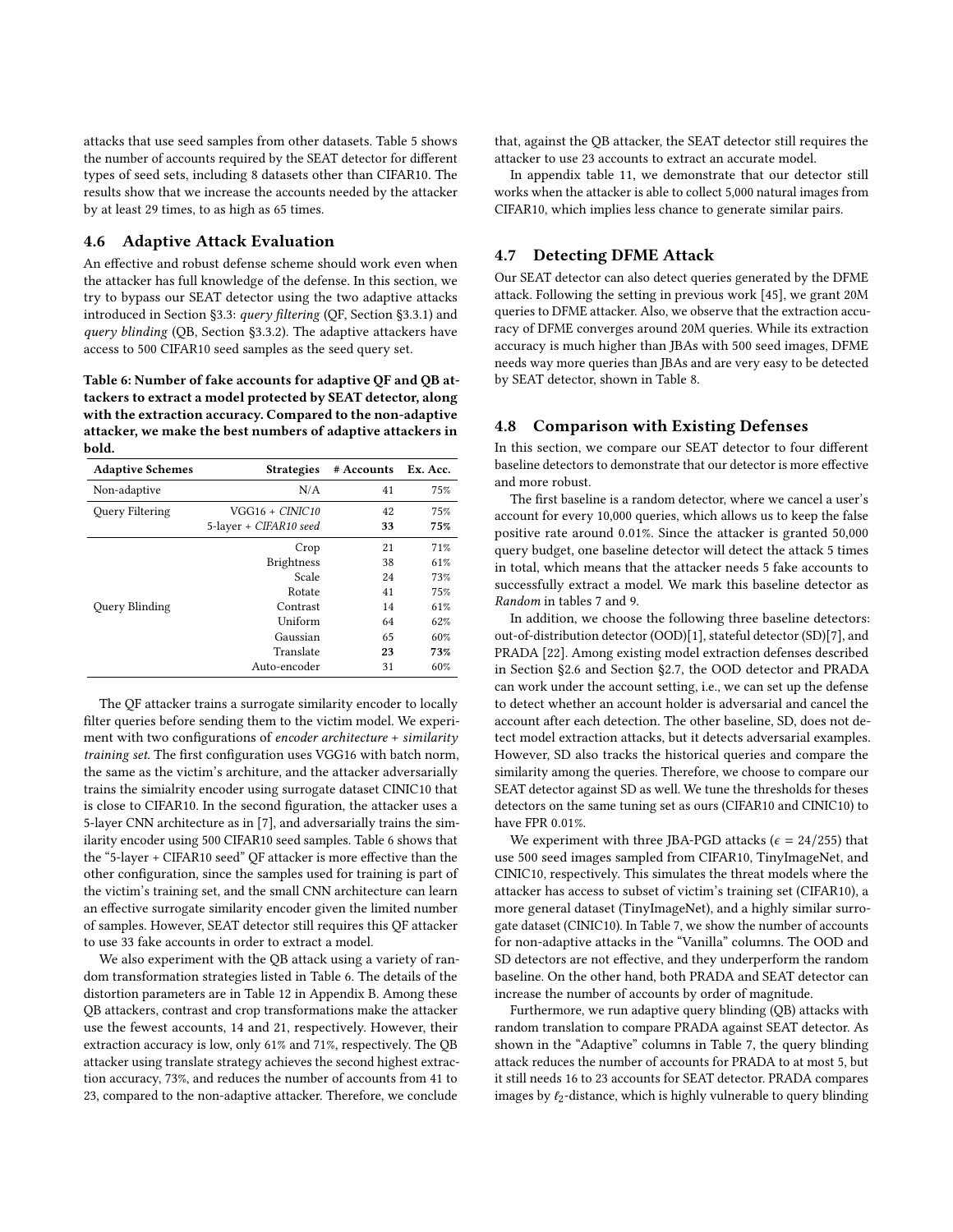attacks that use seed samples from other datasets. Table [5](#page-7-6) shows the number of accounts required by the SEAT detector for different types of seed sets, including 8 datasets other than CIFAR10. The results show that we increase the accounts needed by the attacker by at least 29 times, to as high as 65 times.

#### <span id="page-8-1"></span>4.6 Adaptive Attack Evaluation

An effective and robust defense scheme should work even when the attacker has full knowledge of the defense. In this section, we try to bypass our SEAT detector using the two adaptive attacks introduced in Section [§3.3:](#page-4-5) query filtering (QF, Section [§3.3.1\)](#page-4-3) and query blinding (QB, Section [§3.3.2\)](#page-4-4). The adaptive attackers have access to 500 CIFAR10 seed samples as the seed query set.

<span id="page-8-3"></span>Table 6: Number of fake accounts for adaptive QF and QB attackers to extract a model protected by SEAT detector, along with the extraction accuracy. Compared to the non-adaptive attacker, we make the best numbers of adaptive attackers in bold.

| <b>Adaptive Schemes</b> | <b>Strategies</b>      | # Accounts Ex. Acc. |     |
|-------------------------|------------------------|---------------------|-----|
| Non-adaptive            | N/A                    | 41                  | 75% |
| Query Filtering         | VGG16 + CINIC10        | 42                  | 75% |
|                         | 5-layer + CIFAR10 seed | 33                  | 75% |
|                         | Crop                   | 21                  | 71% |
|                         | <b>Brightness</b>      | 38                  | 61% |
|                         | Scale                  | 24                  | 73% |
|                         | Rotate                 | 41                  | 75% |
| Query Blinding          | Contrast               | 14                  | 61% |
|                         | Uniform                | 64                  | 62% |
|                         | Gaussian               | 65                  | 60% |
|                         | Translate              | 23                  | 73% |
|                         | Auto-encoder           | 31                  | 60% |

The QF attacker trains a surrogate similarity encoder to locally filter queries before sending them to the victim model. We experiment with two configurations of encoder architecture + similarity training set. The first configuration uses VGG16 with batch norm, the same as the victim's architure, and the attacker adversarially trains the simialrity encoder using surrogate dataset CINIC10 that is close to CIFAR10. In the second figuration, the attacker uses a 5-layer CNN architecture as in [\[7\]](#page-10-3), and adversarially trains the similarity encoder using 500 CIFAR10 seed samples. Table [6](#page-8-3) shows that the "5-layer + CIFAR10 seed" QF attacker is more effective than the other configuration, since the samples used for training is part of the victim's training set, and the small CNN architecture can learn an effective surrogate similarity encoder given the limited number of samples. However, SEAT detector still requires this QF attacker to use 33 fake accounts in order to extract a model.

We also experiment with the QB attack using a variety of random transformation strategies listed in Table [6.](#page-8-3) The details of the distortion parameters are in Table [12](#page-11-5) in Appendix [B.](#page-11-6) Among these QB attackers, contrast and crop transformations make the attacker use the fewest accounts, 14 and 21, respectively. However, their extraction accuracy is low, only 61% and 71%, respectively. The QB attacker using translate strategy achieves the second highest extraction accuracy, 73%, and reduces the number of accounts from 41 to 23, compared to the non-adaptive attacker. Therefore, we conclude

that, against the QB attacker, the SEAT detector still requires the attacker to use 23 accounts to extract an accurate model.

In appendix table [11,](#page-11-7) we demonstrate that our detector still works when the attacker is able to collect 5,000 natural images from CIFAR10, which implies less chance to generate similar pairs.

## <span id="page-8-2"></span>4.7 Detecting DFME Attack

Our SEAT detector can also detect queries generated by the DFME attack. Following the setting in previous work [\[45\]](#page-10-2), we grant 20M queries to DFME attacker. Also, we observe that the extraction accuracy of DFME converges around 20M queries. While its extraction accuracy is much higher than JBAs with 500 seed images, DFME needs way more queries than JBAs and are very easy to be detected by SEAT detector, shown in Table [8.](#page-9-2)

#### <span id="page-8-0"></span>4.8 Comparison with Existing Defenses

In this section, we compare our SEAT detector to four different baseline detectors to demonstrate that our detector is more effective and more robust.

The first baseline is a random detector, where we cancel a user's account for every 10,000 queries, which allows us to keep the false positive rate around 0.01%. Since the attacker is granted 50,000 query budget, one baseline detector will detect the attack 5 times in total, which means that the attacker needs 5 fake accounts to successfully extract a model. We mark this baseline detector as Random in tables [7](#page-9-3) and [9.](#page-9-1)

In addition, we choose the following three baseline detectors: out-of-distribution detector (OOD)[\[1\]](#page-10-4), stateful detector (SD)[\[7\]](#page-10-3), and PRADA [\[22\]](#page-10-0). Among existing model extraction defenses described in Section [§2.6](#page-3-2) and Section [§2.7,](#page-3-3) the OOD detector and PRADA can work under the account setting, i.e., we can set up the defense to detect whether an account holder is adversarial and cancel the account after each detection. The other baseline, SD, does not detect model extraction attacks, but it detects adversarial examples. However, SD also tracks the historical queries and compare the similarity among the queries. Therefore, we choose to compare our SEAT detector against SD as well. We tune the thresholds for theses detectors on the same tuning set as ours (CIFAR10 and CINIC10) to have FPR 0.01%.

We experiment with three JBA-PGD attacks ( $\epsilon = 24/255$ ) that use 500 seed images sampled from CIFAR10, TinyImageNet, and CINIC10, respectively. This simulates the threat models where the attacker has access to subset of victim's training set (CIFAR10), a more general dataset (TinyImageNet), and a highly similar surrogate dataset (CINIC10). In Table [7,](#page-9-3) we show the number of accounts for non-adaptive attacks in the "Vanilla" columns. The OOD and SD detectors are not effective, and they underperform the random baseline. On the other hand, both PRADA and SEAT detector can increase the number of accounts by order of magnitude.

Furthermore, we run adaptive query blinding (QB) attacks with random translation to compare PRADA against SEAT detector. As shown in the "Adaptive" columns in Table [7,](#page-9-3) the query blinding attack reduces the number of accounts for PRADA to at most 5, but it still needs 16 to 23 accounts for SEAT detector. PRADA compares images by  $\ell_2$ -distance, which is highly vulnerable to query blinding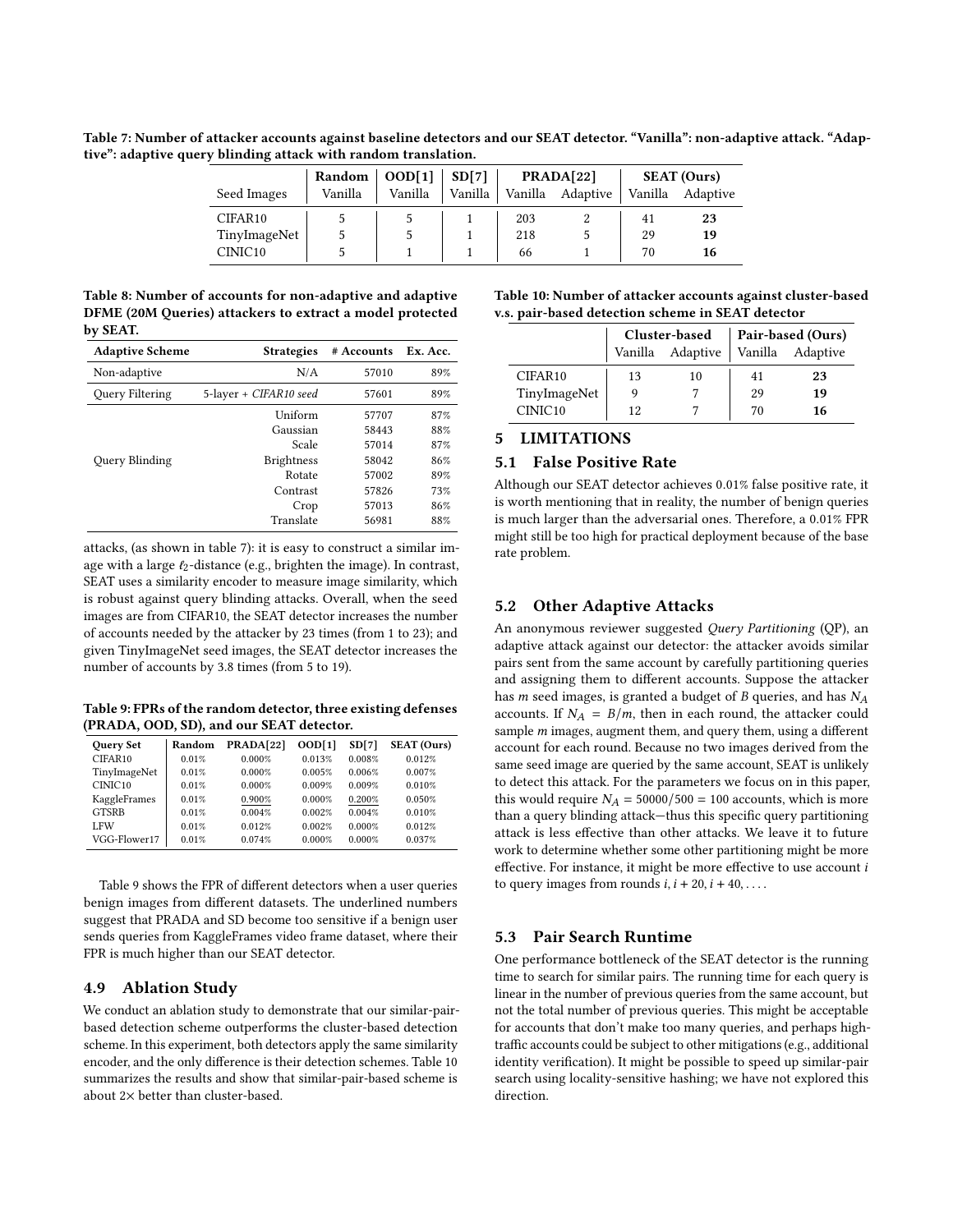<span id="page-9-3"></span>Table 7: Number of attacker accounts against baseline detectors and our SEAT detector. "Vanilla": non-adaptive attack. "Adaptive": adaptive query blinding attack with random translation.

|                     | <b>Random</b> | OOD[1]  | SD[7]   | PRADA[22] |          |         | <b>SEAT</b> (Ours) |
|---------------------|---------------|---------|---------|-----------|----------|---------|--------------------|
| Seed Images         | Vanilla       | Vanilla | Vanilla | Vanilla   | Adaptive | Vanilla | Adaptive           |
| CIFAR <sub>10</sub> |               |         |         | 203       |          | 41      | 23                 |
| TinyImageNet        |               |         |         | 218       |          | 29      | 19                 |
| CINIC <sub>10</sub> |               |         |         | 66        |          | 70      | 16                 |

<span id="page-9-2"></span>Table 8: Number of accounts for non-adaptive and adaptive DFME (20M Queries) attackers to extract a model protected by SEAT.

| <b>Adaptive Scheme</b> | <b>Strategies</b>      | # Accounts | Ex. Acc. |
|------------------------|------------------------|------------|----------|
| Non-adaptive           | N/A                    | 57010      | 89%      |
| <b>Query Filtering</b> | 5-layer + CIFAR10 seed | 57601      | 89%      |
|                        | Uniform                | 57707      | 87%      |
|                        | Gaussian               | 58443      | 88%      |
|                        | Scale                  | 57014      | 87%      |
| Ouery Blinding         | <b>Brightness</b>      | 58042      | 86%      |
|                        | Rotate                 | 57002      | 89%      |
|                        | Contrast               | 57826      | 73%      |
|                        | Crop                   | 57013      | 86%      |
|                        | Translate              | 56981      | 88%      |

attacks, (as shown in table [7\)](#page-9-3): it is easy to construct a similar image with a large  $\ell_2$ -distance (e.g., brighten the image). In contrast, SEAT uses a similarity encoder to measure image similarity, which is robust against query blinding attacks. Overall, when the seed images are from CIFAR10, the SEAT detector increases the number of accounts needed by the attacker by 23 times (from 1 to 23); and given TinyImageNet seed images, the SEAT detector increases the number of accounts by 3.8 times (from 5 to 19).

<span id="page-9-1"></span>Table 9: FPRs of the random detector, three existing defenses (PRADA, OOD, SD), and our SEAT detector.

| <b>Query Set</b>    | Random | PRADA[22] | OD[1]  | SD[7]  | <b>SEAT</b> (Ours) |
|---------------------|--------|-----------|--------|--------|--------------------|
| CIFAR10             | 0.01%  | 0.000%    | 0.013% | 0.008% | 0.012%             |
| TinyImageNet        | 0.01%  | 0.000%    | 0.005% | 0.006% | 0.007%             |
| CINIC <sub>10</sub> | 0.01%  | 0.000%    | 0.009% | 0.009% | 0.010%             |
| KaggleFrames        | 0.01%  | 0.900%    | 0.000% | 0.200% | 0.050%             |
| <b>GTSRB</b>        | 0.01%  | 0.004%    | 0.002% | 0.004% | 0.010%             |
| <b>LFW</b>          | 0.01%  | 0.012%    | 0.002% | 0.000% | 0.012%             |
| VGG-Flower17        | 0.01%  | 0.074%    | 0.000% | 0.000% | 0.037%             |

Table [9](#page-9-1) shows the FPR of different detectors when a user queries benign images from different datasets. The underlined numbers suggest that PRADA and SD become too sensitive if a benign user sends queries from KaggleFrames video frame dataset, where their FPR is much higher than our SEAT detector.

## <span id="page-9-0"></span>4.9 Ablation Study

We conduct an ablation study to demonstrate that our similar-pairbased detection scheme outperforms the cluster-based detection scheme. In this experiment, both detectors apply the same similarity encoder, and the only difference is their detection schemes. Table [10](#page-9-4) summarizes the results and show that similar-pair-based scheme is about 2× better than cluster-based.

<span id="page-9-4"></span>Table 10: Number of attacker accounts against cluster-based v.s. pair-based detection scheme in SEAT detector

|                     |                  | Cluster-based |    | Pair-based (Ours) |
|---------------------|------------------|---------------|----|-------------------|
|                     | Vanilla Adaptive |               |    | Vanilla Adaptive  |
| CIFAR <sub>10</sub> | 13               | 10            | 41 | 23                |
| TinyImageNet        |                  |               | 29 | 19                |
| CINIC <sub>10</sub> | 12               |               | 70 | 16                |

# 5 LIMITATIONS

#### 5.1 False Positive Rate

Although our SEAT detector achieves 0.01% false positive rate, it is worth mentioning that in reality, the number of benign queries is much larger than the adversarial ones. Therefore, a 0.01% FPR might still be too high for practical deployment because of the base rate problem.

#### 5.2 Other Adaptive Attacks

An anonymous reviewer suggested Query Partitioning (QP), an adaptive attack against our detector: the attacker avoids similar pairs sent from the same account by carefully partitioning queries and assigning them to different accounts. Suppose the attacker has  $m$  seed images, is granted a budget of  $B$  queries, and has  $N_A$ accounts. If  $N_A = B/m$ , then in each round, the attacker could sample  $m$  images, augment them, and query them, using a different account for each round. Because no two images derived from the same seed image are queried by the same account, SEAT is unlikely to detect this attack. For the parameters we focus on in this paper, this would require  $N_A = 50000/500 = 100$  accounts, which is more than a query blinding attack—thus this specific query partitioning attack is less effective than other attacks. We leave it to future work to determine whether some other partitioning might be more effective. For instance, it might be more effective to use account  $i$ to query images from rounds  $i$ ,  $i + 20$ ,  $i + 40$ , ...

#### 5.3 Pair Search Runtime

One performance bottleneck of the SEAT detector is the running time to search for similar pairs. The running time for each query is linear in the number of previous queries from the same account, but not the total number of previous queries. This might be acceptable for accounts that don't make too many queries, and perhaps hightraffic accounts could be subject to other mitigations (e.g., additional identity verification). It might be possible to speed up similar-pair search using locality-sensitive hashing; we have not explored this direction.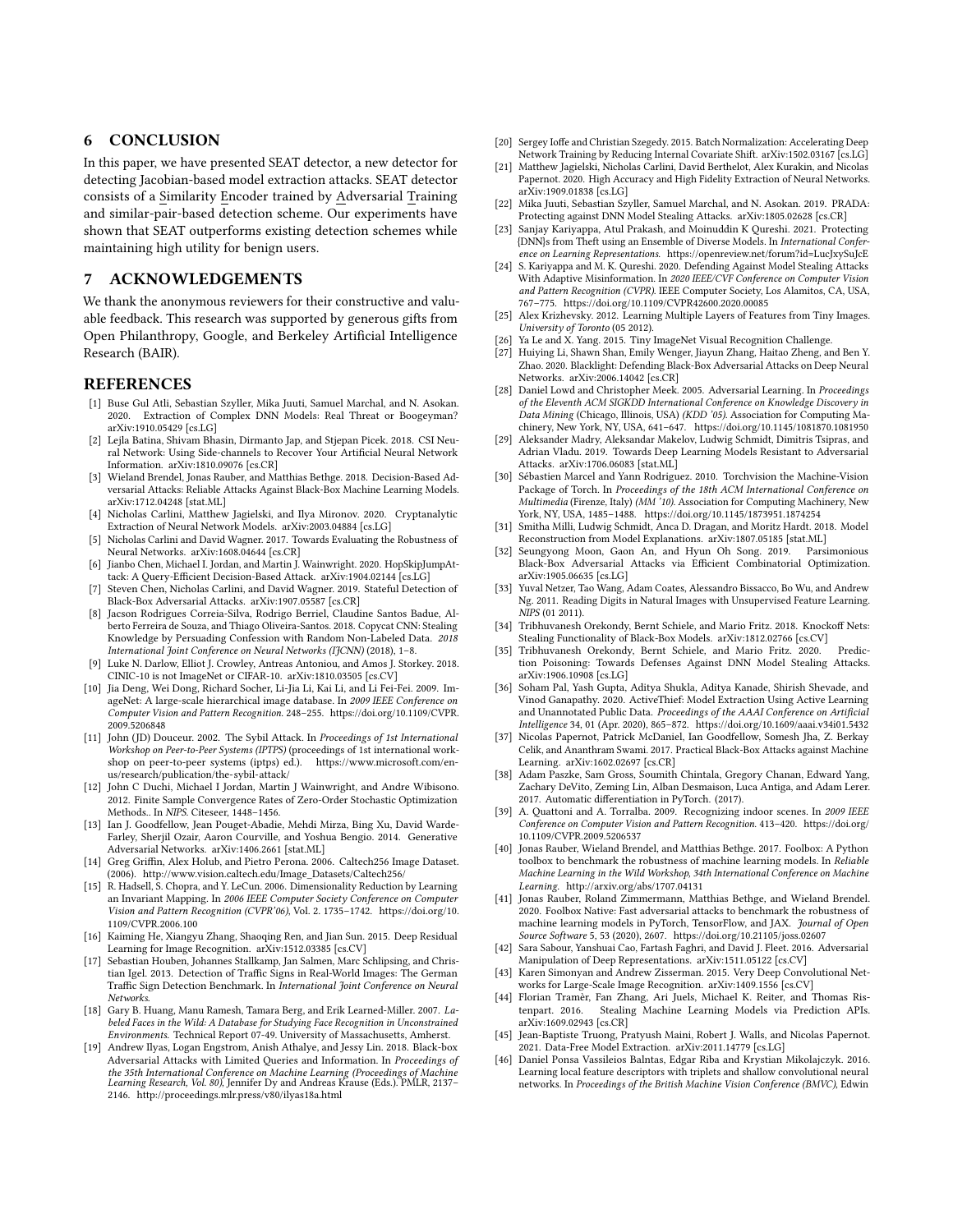## 6 CONCLUSION

In this paper, we have presented SEAT detector, a new detector for detecting Jacobian-based model extraction attacks. SEAT detector consists of a Similarity Encoder trained by Adversarial Training and similar-pair-based detection scheme. Our experiments have shown that SEAT outperforms existing detection schemes while maintaining high utility for benign users.

#### 7 ACKNOWLEDGEMENTS

We thank the anonymous reviewers for their constructive and valuable feedback. This research was supported by generous gifts from Open Philanthropy, Google, and Berkeley Artificial Intelligence Research (BAIR).

#### REFERENCES

- <span id="page-10-4"></span>[1] Buse Gul Atli, Sebastian Szyller, Mika Juuti, Samuel Marchal, and N. Asokan. 2020. Extraction of Complex DNN Models: Real Threat or Boogeyman? arXiv[:1910.05429](https://arxiv.org/abs/1910.05429) [cs.LG]
- <span id="page-10-8"></span>[2] Lejla Batina, Shivam Bhasin, Dirmanto Jap, and Stjepan Picek. 2018. CSI Neural Network: Using Side-channels to Recover Your Artificial Neural Network Information. arXiv[:1810.09076](https://arxiv.org/abs/1810.09076) [cs.CR]
- <span id="page-10-25"></span>[3] Wieland Brendel, Jonas Rauber, and Matthias Bethge. 2018. Decision-Based Adversarial Attacks: Reliable Attacks Against Black-Box Machine Learning Models. arXiv[:1712.04248](https://arxiv.org/abs/1712.04248) [stat.ML]
- <span id="page-10-9"></span>[4] Nicholas Carlini, Matthew Jagielski, and Ilya Mironov. 2020. Cryptanalytic Extraction of Neural Network Models. arXiv[:2003.04884](https://arxiv.org/abs/2003.04884) [cs.LG]
- <span id="page-10-15"></span>[5] Nicholas Carlini and David Wagner. 2017. Towards Evaluating the Robustness of Neural Networks. arXiv[:1608.04644](https://arxiv.org/abs/1608.04644) [cs.CR]
- <span id="page-10-26"></span>[6] Jianbo Chen, Michael I. Jordan, and Martin J. Wainwright. 2020. HopSkipJumpAttack: A Query-Efficient Decision-Based Attack. arXiv[:1904.02144](https://arxiv.org/abs/1904.02144) [cs.LG]
- <span id="page-10-3"></span>[7] Steven Chen, Nicholas Carlini, and David Wagner. 2019. Stateful Detection of Black-Box Adversarial Attacks. arXiv[:1907.05587](https://arxiv.org/abs/1907.05587) [cs.CR]
- <span id="page-10-6"></span>[8] Jacson Rodrigues Correia-Silva, Rodrigo Berriel, Claudine Santos Badue, Alberto Ferreira de Souza, and Thiago Oliveira-Santos. 2018. Copycat CNN: Stealing Knowledge by Persuading Confession with Random Non-Labeled Data. 2018 International Joint Conference on Neural Networks (IJCNN) (2018), 1–8.
- <span id="page-10-37"></span>[9] Luke N. Darlow, Elliot J. Crowley, Antreas Antoniou, and Amos J. Storkey. 2018. CINIC-10 is not ImageNet or CIFAR-10. arXiv[:1810.03505](https://arxiv.org/abs/1810.03505) [cs.CV]
- <span id="page-10-32"></span>[10] Jia Deng, Wei Dong, Richard Socher, Li-Jia Li, Kai Li, and Li Fei-Fei. 2009. ImageNet: A large-scale hierarchical image database. In 2009 IEEE Conference on Computer Vision and Pattern Recognition. 248–255. [https://doi.org/10.1109/CVPR.](https://doi.org/10.1109/CVPR.2009.5206848) [2009.5206848](https://doi.org/10.1109/CVPR.2009.5206848)
- <span id="page-10-12"></span>[11] John (JD) Douceur. 2002. The Sybil Attack. In Proceedings of 1st International Workshop on Peer-to-Peer Systems (IPTPS) (proceedings of 1st international workshop on peer-to-peer systems (iptps) ed.). [https://www.microsoft.com/en](https://www.microsoft.com/en-us/research/publication/the-sybil-attack/)[us/research/publication/the-sybil-attack/](https://www.microsoft.com/en-us/research/publication/the-sybil-attack/)
- <span id="page-10-19"></span>[12] John C Duchi, Michael I Jordan, Martin J Wainwright, and Andre Wibisono. 2012. Finite Sample Convergence Rates of Zero-Order Stochastic Optimization Methods.. In NIPS. Citeseer, 1448–1456.
- <span id="page-10-18"></span>[13] Ian J. Goodfellow, Jean Pouget-Abadie, Mehdi Mirza, Bing Xu, David Warde-Farley, Sherjil Ozair, Aaron Courville, and Yoshua Bengio. 2014. Generative Adversarial Networks. arXiv[:1406.2661](https://arxiv.org/abs/1406.2661) [stat.ML]
- <span id="page-10-38"></span>[14] Greg Griffin, Alex Holub, and Pietro Perona. 2006. Caltech256 Image Dataset. (2006). [http://www.vision.caltech.edu/Image\\_Datasets/Caltech256/](http://www.vision.caltech.edu/Image_Datasets/Caltech256/)
- <span id="page-10-29"></span>[15] R. Hadsell, S. Chopra, and Y. LeCun. 2006. Dimensionality Reduction by Learning an Invariant Mapping. In 2006 IEEE Computer Society Conference on Computer Vision and Pattern Recognition (CVPR'06), Vol. 2. 1735–1742. [https://doi.org/10.](https://doi.org/10.1109/CVPR.2006.100) [1109/CVPR.2006.100](https://doi.org/10.1109/CVPR.2006.100)
- <span id="page-10-36"></span>[16] Kaiming He, Xiangyu Zhang, Shaoqing Ren, and Jian Sun. 2015. Deep Residual Learning for Image Recognition. arXiv[:1512.03385](https://arxiv.org/abs/1512.03385) [cs.CV]
- <span id="page-10-43"></span>[17] Sebastian Houben, Johannes Stallkamp, Jan Salmen, Marc Schlipsing, and Christian Igel. 2013. Detection of Traffic Signs in Real-World Images: The German Traffic Sign Detection Benchmark. In International Joint Conference on Neural Networks.
- <span id="page-10-44"></span>[18] Gary B. Huang, Manu Ramesh, Tamara Berg, and Erik Learned-Miller. 2007. Labeled Faces in the Wild: A Database for Studying Face Recognition in Unconstrained Environments. Technical Report 07-49. University of Massachusetts, Amherst.
- <span id="page-10-27"></span>[19] Andrew Ilyas, Logan Engstrom, Anish Athalye, and Jessy Lin. 2018. Black-box Adversarial Attacks with Limited Queries and Information. In Proceedings of the 35th International Conference on Machine Learning (Proceedings of Machine Learning Research, Vol. 80), Jennifer Dy and Andreas Krause (Eds.). PMLR, 2137-2146.<http://proceedings.mlr.press/v80/ilyas18a.html>
- <span id="page-10-31"></span>[20] Sergey Ioffe and Christian Szegedy. 2015. Batch Normalization: Accelerating Deep Network Training by Reducing Internal Covariate Shift. arXiv[:1502.03167](https://arxiv.org/abs/1502.03167) [cs.LG]
- <span id="page-10-5"></span>[21] Matthew Jagielski, Nicholas Carlini, David Berthelot, Alex Kurakin, and Nicolas Papernot. 2020. High Accuracy and High Fidelity Extraction of Neural Networks. arXiv[:1909.01838](https://arxiv.org/abs/1909.01838) [cs.LG]
- <span id="page-10-0"></span>[22] Mika Juuti, Sebastian Szyller, Samuel Marchal, and N. Asokan. 2019. PRADA: Protecting against DNN Model Stealing Attacks. arXiv[:1805.02628](https://arxiv.org/abs/1805.02628) [cs.CR]
- <span id="page-10-24"></span>[23] Sanjay Kariyappa, Atul Prakash, and Moinuddin K Qureshi. 2021. Protecting {DNN}s from Theft using an Ensemble of Diverse Models. In International Conference on Learning Representations.<https://openreview.net/forum?id=LucJxySuJcE>
- <span id="page-10-22"></span>[24] S. Kariyappa and M. K. Qureshi. 2020. Defending Against Model Stealing Attacks With Adaptive Misinformation. In 2020 IEEE/CVF Conference on Computer Vision and Pattern Recognition (CVPR). IEEE Computer Society, Los Alamitos, CA, USA, 767–775.<https://doi.org/10.1109/CVPR42600.2020.00085>
- <span id="page-10-39"></span>[25] Alex Krizhevsky. 2012. Learning Multiple Layers of Features from Tiny Images. University of Toronto (05 2012).
- <span id="page-10-40"></span>[26] Ya Le and X. Yang. 2015. Tiny ImageNet Visual Recognition Challenge.
- <span id="page-10-13"></span>[27] Huiying Li, Shawn Shan, Emily Wenger, Jiayun Zhang, Haitao Zheng, and Ben Y. Zhao. 2020. Blacklight: Defending Black-Box Adversarial Attacks on Deep Neural Networks. arXiv[:2006.14042](https://arxiv.org/abs/2006.14042) [cs.CR]
- <span id="page-10-10"></span>[28] Daniel Lowd and Christopher Meek. 2005. Adversarial Learning. In Proceedings of the Eleventh ACM SIGKDD International Conference on Knowledge Discovery in Data Mining (Chicago, Illinois, USA) (KDD '05). Association for Computing Machinery, New York, NY, USA, 641–647.<https://doi.org/10.1145/1081870.1081950>
- <span id="page-10-14"></span>[29] Aleksander Madry, Aleksandar Makelov, Ludwig Schmidt, Dimitris Tsipras, and Adrian Vladu. 2019. Towards Deep Learning Models Resistant to Adversarial Attacks. arXiv[:1706.06083](https://arxiv.org/abs/1706.06083) [stat.ML]
- <span id="page-10-45"></span>[30] Sébastien Marcel and Yann Rodriguez. 2010. Torchvision the Machine-Vision Package of Torch. In Proceedings of the 18th ACM International Conference on Multimedia (Firenze, Italy) (MM '10). Association for Computing Machinery, New York, NY, USA, 1485–1488.<https://doi.org/10.1145/1873951.1874254>
- <span id="page-10-11"></span>[31] Smitha Milli, Ludwig Schmidt, Anca D. Dragan, and Moritz Hardt. 2018. Model Reconstruction from Model Explanations. arXiv[:1807.05185](https://arxiv.org/abs/1807.05185) [stat.ML]
- <span id="page-10-28"></span>[32] Seungyong Moon, Gaon An, and Hyun Oh Song. 2019. Parsimonious Black-Box Adversarial Attacks via Efficient Combinatorial Optimization. arXiv[:1905.06635](https://arxiv.org/abs/1905.06635) [cs.LG]
- <span id="page-10-41"></span>[33] Yuval Netzer, Tao Wang, Adam Coates, Alessandro Bissacco, Bo Wu, and Andrew Ng. 2011. Reading Digits in Natural Images with Unsupervised Feature Learning. NIPS (01 2011).
- <span id="page-10-20"></span>[34] Tribhuvanesh Orekondy, Bernt Schiele, and Mario Fritz. 2018. Knockoff Nets: Stealing Functionality of Black-Box Models. arXiv[:1812.02766](https://arxiv.org/abs/1812.02766) [cs.CV]
- <span id="page-10-23"></span>[35] Tribhuvanesh Orekondy, Bernt Schiele, and Mario Fritz. 2020. Prediction Poisoning: Towards Defenses Against DNN Model Stealing Attacks. arXiv[:1906.10908](https://arxiv.org/abs/1906.10908) [cs.LG]
- <span id="page-10-21"></span>[36] Soham Pal, Yash Gupta, Aditya Shukla, Aditya Kanade, Shirish Shevade, and Vinod Ganapathy. 2020. ActiveThief: Model Extraction Using Active Learning and Unannotated Public Data. Proceedings of the AAAI Conference on Artificial Intelligence 34, 01 (Apr. 2020), 865–872.<https://doi.org/10.1609/aaai.v34i01.5432>
- <span id="page-10-1"></span>[37] Nicolas Papernot, Patrick McDaniel, Ian Goodfellow, Somesh Jha, Z. Berkay Celik, and Ananthram Swami. 2017. Practical Black-Box Attacks against Machine Learning. arXiv[:1602.02697](https://arxiv.org/abs/1602.02697) [cs.CR]
- <span id="page-10-35"></span>[38] Adam Paszke, Sam Gross, Soumith Chintala, Gregory Chanan, Edward Yang, Zachary DeVito, Zeming Lin, Alban Desmaison, Luca Antiga, and Adam Lerer. 2017. Automatic differentiation in PyTorch. (2017).
- <span id="page-10-42"></span>[39] A. Quattoni and A. Torralba. 2009. Recognizing indoor scenes. In 2009 IEEE Conference on Computer Vision and Pattern Recognition. 413–420. [https://doi.org/](https://doi.org/10.1109/CVPR.2009.5206537) [10.1109/CVPR.2009.5206537](https://doi.org/10.1109/CVPR.2009.5206537)
- <span id="page-10-33"></span>[40] Jonas Rauber, Wieland Brendel, and Matthias Bethge. 2017. Foolbox: A Python toolbox to benchmark the robustness of machine learning models. In Reliable Machine Learning in the Wild Workshop, 34th International Conference on Machine Learning.<http://arxiv.org/abs/1707.04131>
- <span id="page-10-34"></span>[41] Jonas Rauber, Roland Zimmermann, Matthias Bethge, and Wieland Brendel. 2020. Foolbox Native: Fast adversarial attacks to benchmark the robustness of machine learning models in PyTorch, TensorFlow, and JAX. Journal of Open Source Software 5, 53 (2020), 2607.<https://doi.org/10.21105/joss.02607>
- <span id="page-10-16"></span>[42] Sara Sabour, Yanshuai Cao, Fartash Faghri, and David J. Fleet. 2016. Adversarial Manipulation of Deep Representations. arXiv[:1511.05122](https://arxiv.org/abs/1511.05122) [cs.CV]
- <span id="page-10-30"></span>[43] Karen Simonyan and Andrew Zisserman. 2015. Very Deep Convolutional Networks for Large-Scale Image Recognition. arXiv[:1409.1556](https://arxiv.org/abs/1409.1556) [cs.CV]
- <span id="page-10-7"></span>[44] Florian Tramèr, Fan Zhang, Ari Juels, Michael K. Reiter, and Thomas Ris-Stealing Machine Learning Models via Prediction APIs. arXiv[:1609.02943](https://arxiv.org/abs/1609.02943) [cs.CR]
- <span id="page-10-2"></span>[45] Jean-Baptiste Truong, Pratyush Maini, Robert J. Walls, and Nicolas Papernot. 2021. Data-Free Model Extraction. arXiv[:2011.14779](https://arxiv.org/abs/2011.14779) [cs.LG]
- <span id="page-10-17"></span>[46] Daniel Ponsa Vassileios Balntas, Edgar Riba and Krystian Mikolajczyk. 2016. Learning local feature descriptors with triplets and shallow convolutional neural networks. In Proceedings of the British Machine Vision Conference (BMVC), Edwin